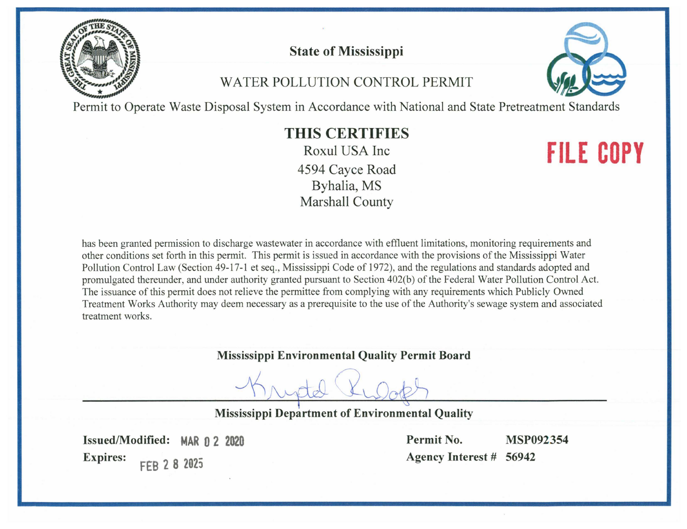

# **State of Mississippi**

# WATER POLLUTION CONTROL PERMIT



Permit to Operate Waste Disposal System in Accordance with National and State Pretreatment Standards

# **THIS CERTIFIES**

Roxul USA Inc 4594 Cayce Road Byhalia, MS **Marshall County** 

# **FILE COPY**

has been granted permission to discharge wastewater in accordance with effluent limitations, monitoring requirements and other conditions set forth in this permit. This permit is issued in accordance with the provisions of the Mississippi Water Pollution Control Law (Section 49-17-1 et seq., Mississippi Code of 1972), and the regulations and standards adopted and promulgated thereunder, and under authority granted pursuant to Section 402(b) of the Federal Water Pollution Control Act. The issuance of this permit does not relieve the permittee from complying with any requirements which Publicly Owned Treatment Works Authority may deem necessary as a prerequisite to the use of the Authority's sewage system and associated treatment works.

### **Mississippi Environmental Quality Permit Board**

**Mississippi Department of Environmental Quality** 

Issued/Modified: MAR 0 2 2020 **Expires:** FEB 2 8 2025

Permit No. **MSP092354** Agency Interest # 56942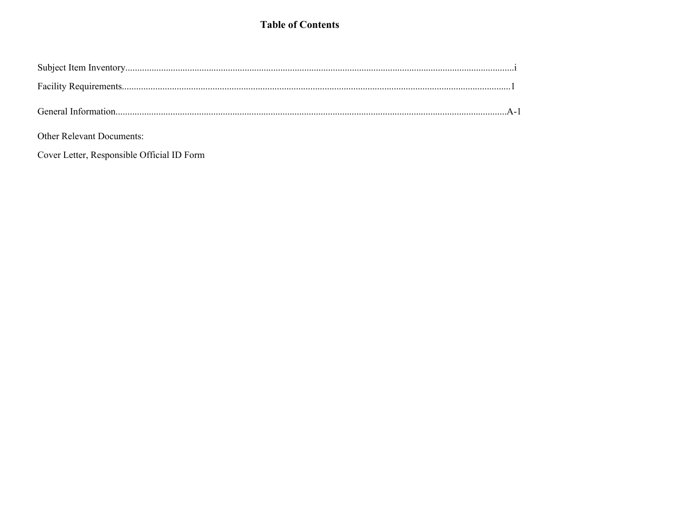### **Table of Contents**

Other Relevant Documents:

Cover Letter, Responsible Official ID Form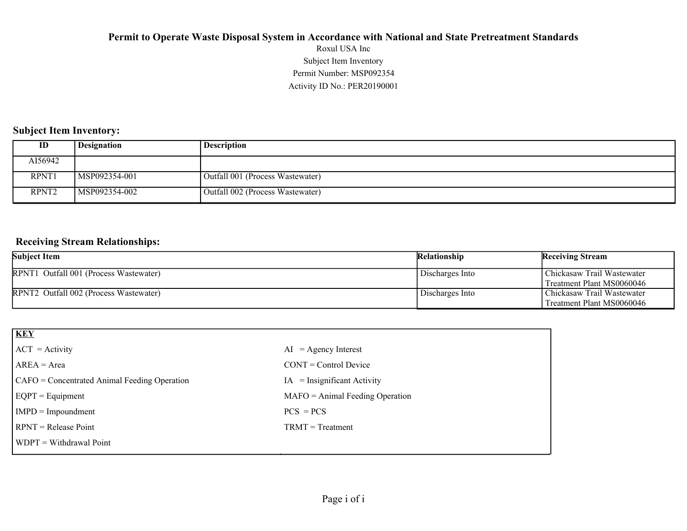### Activity ID No.: PER20190001 Permit Number: MSP092354 Subject Item Inventory Roxul USA Inc **Permit to Operate Waste Disposal System in Accordance with National and State Pretreatment Standards**

### **Subject Item Inventory:**

| ID                | <b>Designation</b> | <b>Description</b>               |
|-------------------|--------------------|----------------------------------|
| AI56942           |                    |                                  |
| RPNT1             | MSP092354-001      | Outfall 001 (Process Wastewater) |
| RPNT <sub>2</sub> | MSP092354-002      | Outfall 002 (Process Wastewater) |

### **Receiving Stream Relationships:**

| <b>Subject Item</b>                    | <b>Relationship</b> | <b>Receiving Stream</b>                                 |
|----------------------------------------|---------------------|---------------------------------------------------------|
| RPNT1 Outfall 001 (Process Wastewater) | Discharges Into     | Chickasaw Trail Wastewater<br>Treatment Plant MS0060046 |
| RPNT2 Outfall 002 (Process Wastewater) | Discharges Into     | Chickasaw Trail Wastewater<br>Treatment Plant MS0060046 |

| <b>KEY</b>                                   |                                   |
|----------------------------------------------|-----------------------------------|
| $ ACT = Activity$                            | $AI = Agency Interest$            |
| $AREA = Area$                                | $CONT = Control$ Device           |
| CAFO = Concentrated Animal Feeding Operation | $IA = Insignificant Activity$     |
| $EQPT = Equipment$                           | $MAFO = Animal Feeding Operation$ |
| $IMPD = Important$                           | $PCS = PCs$                       |
| $RPNT = Release Point$                       | $TRMT = Treatment$                |
| $WDPT = Without$                             |                                   |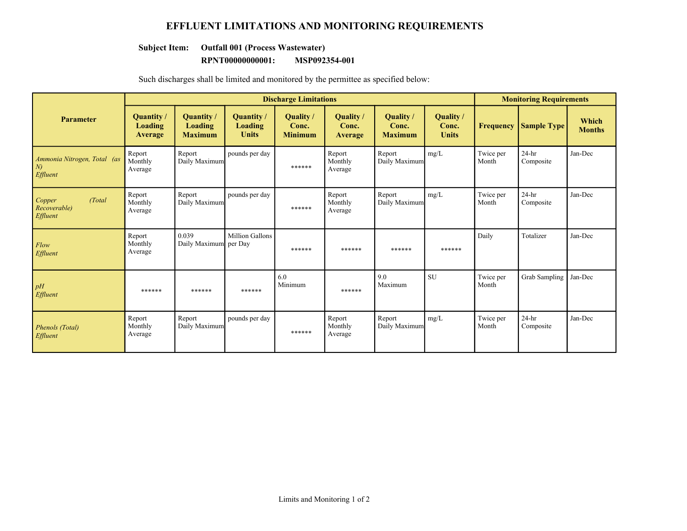### **EFFLUENT LIMITATIONS AND MONITORING REQUIREMENTS**

### **Subject Item: Outfall 001 (Process Wastewater)**

#### **RPNT00000000001: MSP092354-001**

Such discharges shall be limited and monitored by the permittee as specified below:

|                                                     |                                 |                                         |                                              | <b>Discharge Limitations</b>        |                               |                                      |                                    |                    | <b>Monitoring Requirements</b> |                        |
|-----------------------------------------------------|---------------------------------|-----------------------------------------|----------------------------------------------|-------------------------------------|-------------------------------|--------------------------------------|------------------------------------|--------------------|--------------------------------|------------------------|
| <b>Parameter</b>                                    | Quantity/<br>Loading<br>Average | Quantity /<br>Loading<br><b>Maximum</b> | <b>Quantity</b> /<br>Loading<br><b>Units</b> | Quality/<br>Conc.<br><b>Minimum</b> | Quality /<br>Conc.<br>Average | Quality /<br>Conc.<br><b>Maximum</b> | Quality /<br>Conc.<br><b>Units</b> | <b>Frequency</b>   | <b>Sample Type</b>             | Which<br><b>Months</b> |
| Ammonia Nitrogen, Total (as<br>$\mid N$<br>Effluent | Report<br>Monthly<br>Average    | Report<br>Daily Maximum                 | pounds per day                               | ******                              | Report<br>Monthly<br>Average  | Report<br>Daily Maximum              | mg/L                               | Twice per<br>Month | $24-hr$<br>Composite           | Jan-Dec                |
| Copper<br>(Total)<br>Recoverable)<br>Effluent       | Report<br>Monthly<br>Average    | Report<br>Daily Maximum                 | pounds per day                               | ******                              | Report<br>Monthly<br>Average  | Report<br>Daily Maximum              | mg/L                               | Twice per<br>Month | $24-hr$<br>Composite           | Jan-Dec                |
| Flow<br>Effluent                                    | Report<br>Monthly<br>Average    | 0.039<br>Daily Maximum per Day          | <b>Million Gallons</b>                       | ******                              | ******                        | ******                               | ******                             | Daily              | Totalizer                      | Jan-Dec                |
| pH<br>Effluent                                      | ******                          | ******                                  | ******                                       | 6.0<br>Minimum                      | ******                        | 9.0<br>Maximum                       | <b>SU</b>                          | Twice per<br>Month | Grab Sampling                  | Jan-Dec                |
| Phenols (Total)<br>Effluent                         | Report<br>Monthly<br>Average    | Report<br>Daily Maximum                 | pounds per day                               | ******                              | Report<br>Monthly<br>Average  | Report<br>Daily Maximum              | mg/L                               | Twice per<br>Month | $24-hr$<br>Composite           | Jan-Dec                |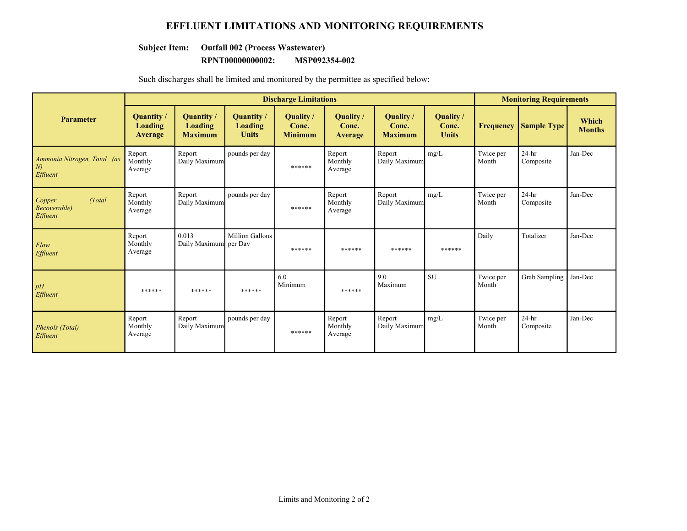### **EFFLUENT LIMITATIONS AND MONITORING REQUIREMENTS**

### **Subject Item: Outfall 002 (Process Wastewater)**

#### **RPNT00000000002: MSP092354-002**

Such discharges shall be limited and monitored by the permittee as specified below:

|                                                     |                                 |                                                |                                              | <b>Discharge Limitations</b>         |                               |                                             |                                           |                    | <b>Monitoring Requirements</b> |                        |
|-----------------------------------------------------|---------------------------------|------------------------------------------------|----------------------------------------------|--------------------------------------|-------------------------------|---------------------------------------------|-------------------------------------------|--------------------|--------------------------------|------------------------|
| <b>Parameter</b>                                    | Quantity/<br>Loading<br>Average | <b>Quantity</b> /<br>Loading<br><b>Maximum</b> | <b>Quantity</b> /<br>Loading<br><b>Units</b> | Quality /<br>Conc.<br><b>Minimum</b> | Quality /<br>Conc.<br>Average | <b>Quality</b> /<br>Conc.<br><b>Maximum</b> | <b>Quality</b> /<br>Conc.<br><b>Units</b> | <b>Frequency</b>   | <b>Sample Type</b>             | Which<br><b>Months</b> |
| Ammonia Nitrogen, Total (as<br>$\mid N$<br>Effluent | Report<br>Monthly<br>Average    | Report<br>Daily Maximum                        | pounds per day                               | ******                               | Report<br>Monthly<br>Average  | Report<br>Daily Maximum                     | mg/L                                      | Twice per<br>Month | $24-hr$<br>Composite           | Jan-Dec                |
| Copper<br>(Total)<br>Recoverable)<br>Effluent       | Report<br>Monthly<br>Average    | Report<br>Daily Maximum                        | pounds per day                               | ******                               | Report<br>Monthly<br>Average  | Report<br>Daily Maximum                     | mg/L                                      | Twice per<br>Month | $24-hr$<br>Composite           | Jan-Dec                |
| Flow<br>Effluent                                    | Report<br>Monthly<br>Average    | 0.013<br>Daily Maximum per Day                 | <b>Million Gallons</b>                       | ******                               | ******                        | ******                                      | ******                                    | Daily              | Totalizer                      | Jan-Dec                |
| pH<br>Effluent                                      | ******                          | ******                                         | ******                                       | 6.0<br>Minimum                       | ******                        | 9.0<br>Maximum                              | <b>SU</b>                                 | Twice per<br>Month | Grab Sampling                  | Jan-Dec                |
| Phenols (Total)<br>Effluent                         | Report<br>Monthly<br>Average    | Report<br>Daily Maximum                        | pounds per day                               | ******                               | Report<br>Monthly<br>Average  | Report<br>Daily Maximum                     | mg/L                                      | Twice per<br>Month | $24-hr$<br>Composite           | Jan-Dec                |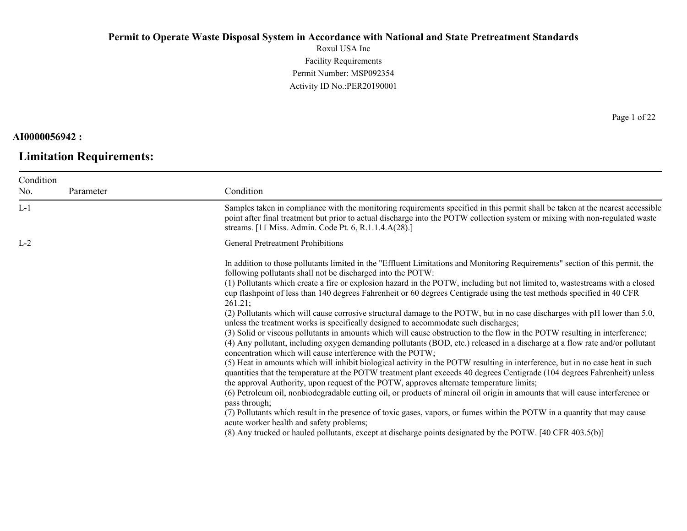Roxul USA Inc Facility Requirements Permit Number: MSP092354 Activity ID No.:PER20190001

### **AI0000056942 :**

# **Limitation Requirements:**

Page 1 of 22

| Samples taken in compliance with the monitoring requirements specified in this permit shall be taken at the nearest accessible<br>point after final treatment but prior to actual discharge into the POTW collection system or mixing with non-regulated waste<br>streams. [11 Miss. Admin. Code Pt. 6, R.1.1.4.A(28).]<br><b>General Pretreatment Prohibitions</b><br>In addition to those pollutants limited in the "Effluent Limitations and Monitoring Requirements" section of this permit, the                                                                                                                                                                                                                                                                                                                                                                                                                                                                                                                                                                                                                                                                                                                                                                                                                                                                                                                                                                                                                                                                                                                                                     |
|----------------------------------------------------------------------------------------------------------------------------------------------------------------------------------------------------------------------------------------------------------------------------------------------------------------------------------------------------------------------------------------------------------------------------------------------------------------------------------------------------------------------------------------------------------------------------------------------------------------------------------------------------------------------------------------------------------------------------------------------------------------------------------------------------------------------------------------------------------------------------------------------------------------------------------------------------------------------------------------------------------------------------------------------------------------------------------------------------------------------------------------------------------------------------------------------------------------------------------------------------------------------------------------------------------------------------------------------------------------------------------------------------------------------------------------------------------------------------------------------------------------------------------------------------------------------------------------------------------------------------------------------------------|
|                                                                                                                                                                                                                                                                                                                                                                                                                                                                                                                                                                                                                                                                                                                                                                                                                                                                                                                                                                                                                                                                                                                                                                                                                                                                                                                                                                                                                                                                                                                                                                                                                                                          |
|                                                                                                                                                                                                                                                                                                                                                                                                                                                                                                                                                                                                                                                                                                                                                                                                                                                                                                                                                                                                                                                                                                                                                                                                                                                                                                                                                                                                                                                                                                                                                                                                                                                          |
|                                                                                                                                                                                                                                                                                                                                                                                                                                                                                                                                                                                                                                                                                                                                                                                                                                                                                                                                                                                                                                                                                                                                                                                                                                                                                                                                                                                                                                                                                                                                                                                                                                                          |
| following pollutants shall not be discharged into the POTW:<br>(1) Pollutants which create a fire or explosion hazard in the POTW, including but not limited to, wastestreams with a closed<br>cup flashpoint of less than 140 degrees Fahrenheit or 60 degrees Centigrade using the test methods specified in 40 CFR<br>(2) Pollutants which will cause corrosive structural damage to the POTW, but in no case discharges with pH lower than 5.0,<br>unless the treatment works is specifically designed to accommodate such discharges;<br>(3) Solid or viscous pollutants in amounts which will cause obstruction to the flow in the POTW resulting in interference;<br>(4) Any pollutant, including oxygen demanding pollutants (BOD, etc.) released in a discharge at a flow rate and/or pollutant<br>concentration which will cause interference with the POTW;<br>(5) Heat in amounts which will inhibit biological activity in the POTW resulting in interference, but in no case heat in such<br>quantities that the temperature at the POTW treatment plant exceeds 40 degrees Centigrade (104 degrees Fahrenheit) unless<br>the approval Authority, upon request of the POTW, approves alternate temperature limits;<br>(6) Petroleum oil, nonbiodegradable cutting oil, or products of mineral oil origin in amounts that will cause interference or<br>(7) Pollutants which result in the presence of toxic gases, vapors, or fumes within the POTW in a quantity that may cause<br>acute worker health and safety problems;<br>(8) Any trucked or hauled pollutants, except at discharge points designated by the POTW. [40 CFR 403.5(b)] |
|                                                                                                                                                                                                                                                                                                                                                                                                                                                                                                                                                                                                                                                                                                                                                                                                                                                                                                                                                                                                                                                                                                                                                                                                                                                                                                                                                                                                                                                                                                                                                                                                                                                          |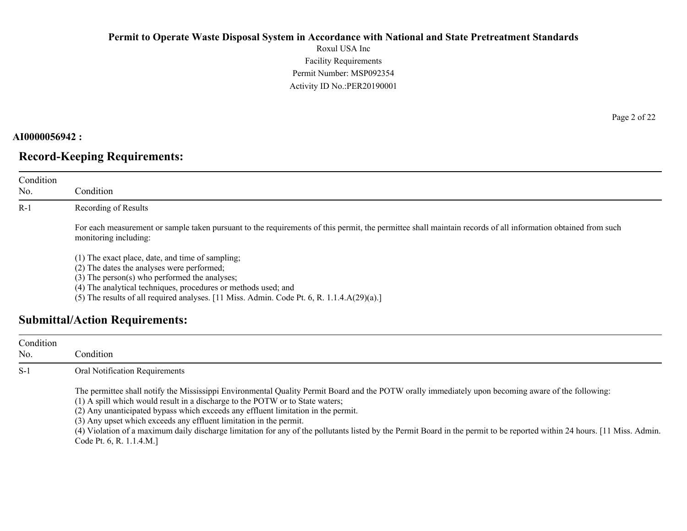Roxul USA Inc Facility Requirements Permit Number: MSP092354 Activity ID No.:PER20190001

#### **AI0000056942 :**

No.

### **Record-Keeping Requirements:**

Condition Condition R-1 Recording of Results For each measurement or sample taken pursuant to the requirements of this permit, the permittee shall maintain records of all information obtained from such monitoring including: (1) The exact place, date, and time of sampling; (2) The dates the analyses were performed; (3) The person(s) who performed the analyses;

(4) The analytical techniques, procedures or methods used; and

(5) The results of all required analyses. [11 Miss. Admin. Code Pt. 6, R. 1.1.4.A(29)(a).]

### **Submittal/Action Requirements:**

| Condition<br>No. | Condition                                                                                                                                                                                                                                                                                                                                                                                                                                                                                                                                                                                                 |
|------------------|-----------------------------------------------------------------------------------------------------------------------------------------------------------------------------------------------------------------------------------------------------------------------------------------------------------------------------------------------------------------------------------------------------------------------------------------------------------------------------------------------------------------------------------------------------------------------------------------------------------|
| $S-1$            | Oral Notification Requirements                                                                                                                                                                                                                                                                                                                                                                                                                                                                                                                                                                            |
|                  | The permittee shall notify the Mississippi Environmental Quality Permit Board and the POTW orally immediately upon becoming aware of the following:<br>(1) A spill which would result in a discharge to the POTW or to State waters;<br>(2) Any unanticipated bypass which exceeds any effluent limitation in the permit.<br>(3) Any upset which exceeds any effluent limitation in the permit.<br>(4) Violation of a maximum daily discharge limitation for any of the pollutants listed by the Permit Board in the permit to be reported within 24 hours. [11 Miss. Admin.]<br>Code Pt. 6, R. 1.1.4.M.] |

Page 2 of 22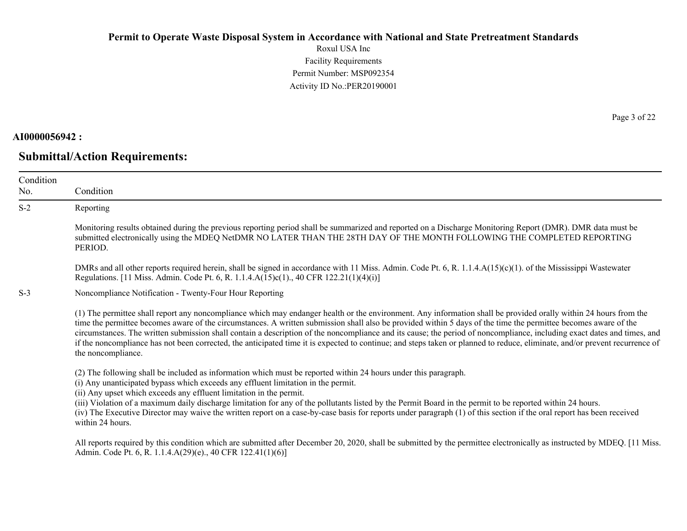Roxul USA Inc Facility Requirements Permit Number: MSP092354 Activity ID No.:PER20190001

#### **AI0000056942 :**

No.

**Submittal/Action Requirements:**

Condition Condition S-2 Reporting Monitoring results obtained during the previous reporting period shall be summarized and reported on a Discharge Monitoring Report (DMR). DMR data must be submitted electronically using the MDEQ NetDMR NO LATER THAN THE 28TH DAY OF THE MONTH FOLLOWING THE COMPLETED REPORTING PERIOD. DMRs and all other reports required herein, shall be signed in accordance with 11 Miss. Admin. Code Pt. 6, R. 1.1.4.A(15)(c)(1). of the Mississippi Wastewater Regulations. [11 Miss. Admin. Code Pt. 6, R. 1.1.4.A(15)c(1)., 40 CFR 122.21(1)(4)(i)] S-3 Noncompliance Notification - Twenty-Four Hour Reporting (1) The permittee shall report any noncompliance which may endanger health or the environment. Any information shall be provided orally within 24 hours from the time the permittee becomes aware of the circumstances. A written submission shall also be provided within 5 days of the time the permittee becomes aware of the circumstances. The written submission shall contain a description of the noncompliance and its cause; the period of noncompliance, including exact dates and times, and if the noncompliance has not been corrected, the anticipated time it is expected to continue; and steps taken or planned to reduce, eliminate, and/or prevent recurrence of the noncompliance. (2) The following shall be included as information which must be reported within 24 hours under this paragraph. (i) Any unanticipated bypass which exceeds any effluent limitation in the permit. (ii) Any upset which exceeds any effluent limitation in the permit. (iii) Violation of a maximum daily discharge limitation for any of the pollutants listed by the Permit Board in the permit to be reported within 24 hours. (iv) The Executive Director may waive the written report on a case-by-case basis for reports under paragraph (1) of this section if the oral report has been received within 24 hours.

All reports required by this condition which are submitted after December 20, 2020, shall be submitted by the permittee electronically as instructed by MDEQ. [11 Miss.] Admin. Code Pt. 6, R. 1.1.4.A(29)(e)., 40 CFR 122.41(1)(6)]

Page 3 of 22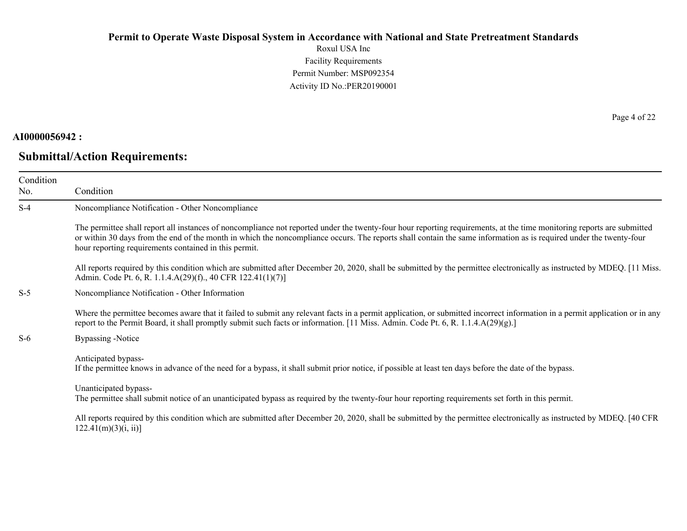Roxul USA Inc Facility Requirements Permit Number: MSP092354 Activity ID No.:PER20190001

### **AI0000056942 :**

# **Submittal/Action Requirements:**

Page 4 of 22

| Condition<br>No. | Condition                                                                                                                                                                                                                                                                                                                                                                                             |
|------------------|-------------------------------------------------------------------------------------------------------------------------------------------------------------------------------------------------------------------------------------------------------------------------------------------------------------------------------------------------------------------------------------------------------|
| $S-4$            | Noncompliance Notification - Other Noncompliance                                                                                                                                                                                                                                                                                                                                                      |
|                  | The permittee shall report all instances of noncompliance not reported under the twenty-four hour reporting requirements, at the time monitoring reports are submitted<br>or within 30 days from the end of the month in which the noncompliance occurs. The reports shall contain the same information as is required under the twenty-four<br>hour reporting requirements contained in this permit. |
|                  | All reports required by this condition which are submitted after December 20, 2020, shall be submitted by the permittee electronically as instructed by MDEQ. [11 Miss.]<br>Admin. Code Pt. 6, R. 1.1.4.A(29)(f)., 40 CFR 122.41(1)(7)]                                                                                                                                                               |
| $S-5$            | Noncompliance Notification - Other Information                                                                                                                                                                                                                                                                                                                                                        |
|                  | Where the permittee becomes aware that it failed to submit any relevant facts in a permit application, or submitted incorrect information in a permit application or in any<br>report to the Permit Board, it shall promptly submit such facts or information. [11 Miss. Admin. Code Pt. 6, R. 1.1.4.A(29)(g).]                                                                                       |
| $S-6$            | <b>Bypassing -Notice</b>                                                                                                                                                                                                                                                                                                                                                                              |
|                  | Anticipated bypass-<br>If the permittee knows in advance of the need for a bypass, it shall submit prior notice, if possible at least ten days before the date of the bypass.                                                                                                                                                                                                                         |
|                  | Unanticipated bypass-<br>The permittee shall submit notice of an unanticipated bypass as required by the twenty-four hour reporting requirements set forth in this permit.                                                                                                                                                                                                                            |
|                  | All reports required by this condition which are submitted after December 20, 2020, shall be submitted by the permittee electronically as instructed by MDEQ. [40 CFR<br>$122.41(m)(3)(i, ii)$ ]                                                                                                                                                                                                      |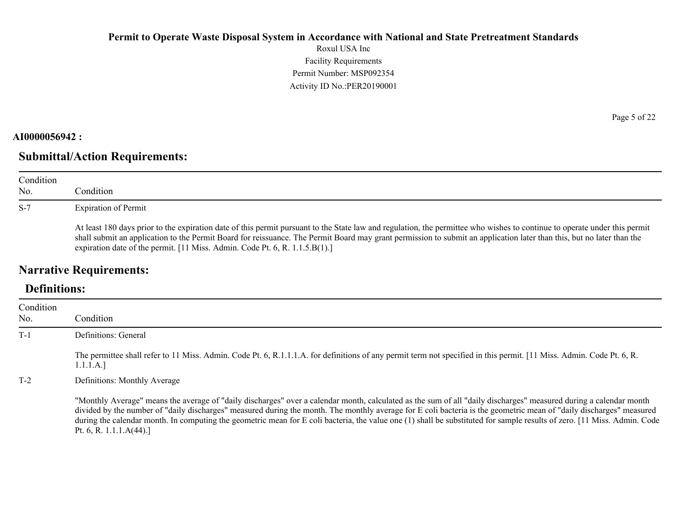Roxul USA Inc Facility Requirements Permit Number: MSP092354 Activity ID No.:PER20190001

### **AI0000056942 :**

# **Submittal/Action Requirements:**

| Condition<br>No. | Condition                                                                                                                                                                                                                                                                                                                                                                                                                         |
|------------------|-----------------------------------------------------------------------------------------------------------------------------------------------------------------------------------------------------------------------------------------------------------------------------------------------------------------------------------------------------------------------------------------------------------------------------------|
| $S-7$            | <b>Expiration of Permit</b>                                                                                                                                                                                                                                                                                                                                                                                                       |
|                  | At least 180 days prior to the expiration date of this permit pursuant to the State law and regulation, the permittee who wishes to continue to operate under this permit<br>shall submit an application to the Permit Board for reissuance. The Permit Board may grant permission to submit an application later than this, but no later than the<br>expiration date of the permit. [11 Miss. Admin. Code Pt. 6, R. 1.1.5.B(1).] |

# **Narrative Requirements:**

# **Definitions:**

| Condition |                                                                                                                                                                                                                                                                                                                                                                                                                                                                                                                                                     |
|-----------|-----------------------------------------------------------------------------------------------------------------------------------------------------------------------------------------------------------------------------------------------------------------------------------------------------------------------------------------------------------------------------------------------------------------------------------------------------------------------------------------------------------------------------------------------------|
| No.       | Condition                                                                                                                                                                                                                                                                                                                                                                                                                                                                                                                                           |
| $T-1$     | Definitions: General                                                                                                                                                                                                                                                                                                                                                                                                                                                                                                                                |
|           | The permittee shall refer to 11 Miss. Admin. Code Pt. 6, R.1.1.1.A. for definitions of any permit term not specified in this permit. [11 Miss. Admin. Code Pt. 6, R.<br>1.1.1.A.]                                                                                                                                                                                                                                                                                                                                                                   |
| $T-2$     | Definitions: Monthly Average                                                                                                                                                                                                                                                                                                                                                                                                                                                                                                                        |
|           | "Monthly Average" means the average of "daily discharges" over a calendar month, calculated as the sum of all "daily discharges" measured during a calendar month<br>divided by the number of "daily discharges" measured during the month. The monthly average for E coli bacteria is the geometric mean of "daily discharges" measured<br>during the calendar month. In computing the geometric mean for E coli bacteria, the value one (1) shall be substituted for sample results of zero. [11 Miss. Admin. Code<br>Pt. 6, R. 1.1.1. $A(44)$ .] |

Page 5 of 22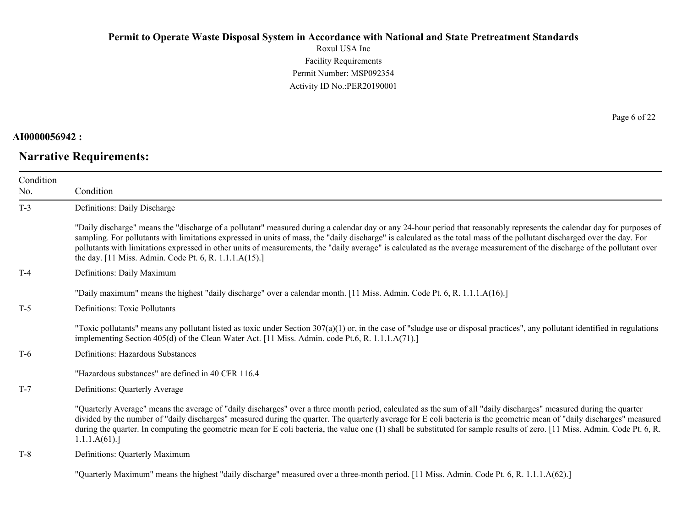Roxul USA Inc Facility Requirements Permit Number: MSP092354 Activity ID No.:PER20190001

### **AI0000056942 :**

### **Narrative Requirements:**

Page 6 of 22

| Condition |                                                                                                                                                                                                                                                                                                                                                                                                                                                                                                                                                                                             |
|-----------|---------------------------------------------------------------------------------------------------------------------------------------------------------------------------------------------------------------------------------------------------------------------------------------------------------------------------------------------------------------------------------------------------------------------------------------------------------------------------------------------------------------------------------------------------------------------------------------------|
| No.       | Condition                                                                                                                                                                                                                                                                                                                                                                                                                                                                                                                                                                                   |
| $T-3$     | Definitions: Daily Discharge                                                                                                                                                                                                                                                                                                                                                                                                                                                                                                                                                                |
|           | "Daily discharge" means the "discharge of a pollutant" measured during a calendar day or any 24-hour period that reasonably represents the calendar day for purposes of<br>sampling. For pollutants with limitations expressed in units of mass, the "daily discharge" is calculated as the total mass of the pollutant discharged over the day. For<br>pollutants with limitations expressed in other units of measurements, the "daily average" is calculated as the average measurement of the discharge of the pollutant over<br>the day. [11 Miss. Admin. Code Pt. 6, R. 1.1.1.A(15).] |
| $T-4$     | Definitions: Daily Maximum                                                                                                                                                                                                                                                                                                                                                                                                                                                                                                                                                                  |
|           | "Daily maximum" means the highest "daily discharge" over a calendar month. [11 Miss. Admin. Code Pt. 6, R. 1.1.1.A(16).]                                                                                                                                                                                                                                                                                                                                                                                                                                                                    |
| $T-5$     | Definitions: Toxic Pollutants                                                                                                                                                                                                                                                                                                                                                                                                                                                                                                                                                               |
|           | "Toxic pollutants" means any pollutant listed as toxic under Section $307(a)(1)$ or, in the case of "sludge use or disposal practices", any pollutant identified in regulations<br>implementing Section 405(d) of the Clean Water Act. [11 Miss. Admin. code Pt.6, R. 1.1.1.A(71).]                                                                                                                                                                                                                                                                                                         |
| $T-6$     | Definitions: Hazardous Substances                                                                                                                                                                                                                                                                                                                                                                                                                                                                                                                                                           |
|           | "Hazardous substances" are defined in 40 CFR 116.4                                                                                                                                                                                                                                                                                                                                                                                                                                                                                                                                          |
| $T-7$     | Definitions: Quarterly Average                                                                                                                                                                                                                                                                                                                                                                                                                                                                                                                                                              |
|           | "Quarterly Average" means the average of "daily discharges" over a three month period, calculated as the sum of all "daily discharges" measured during the quarter<br>divided by the number of "daily discharges" measured during the quarter. The quarterly average for E coli bacteria is the geometric mean of "daily discharges" measured<br>during the quarter. In computing the geometric mean for E coli bacteria, the value one (1) shall be substituted for sample results of zero. [11 Miss. Admin. Code Pt. 6, R.<br>1.1.1.A(61).                                                |
| $T-8$     | Definitions: Quarterly Maximum                                                                                                                                                                                                                                                                                                                                                                                                                                                                                                                                                              |
|           |                                                                                                                                                                                                                                                                                                                                                                                                                                                                                                                                                                                             |

"Quarterly Maximum" means the highest "daily discharge" measured over a three-month period. [11 Miss. Admin. Code Pt. 6, R. 1.1.1.A(62).]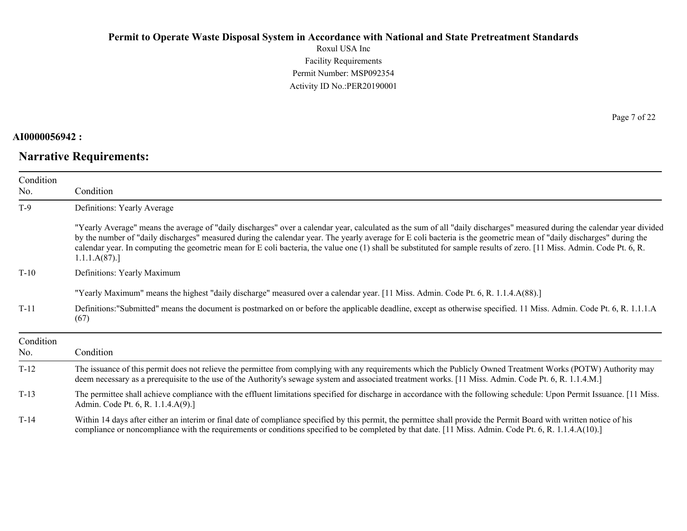Roxul USA Inc Facility Requirements Permit Number: MSP092354 Activity ID No.:PER20190001

### **AI0000056942 :**

# **Narrative Requirements:**

Page 7 of 22

| Condition        |                                                                                                                                                                                                                                                                                                                                                                                                                                                                                                                                            |
|------------------|--------------------------------------------------------------------------------------------------------------------------------------------------------------------------------------------------------------------------------------------------------------------------------------------------------------------------------------------------------------------------------------------------------------------------------------------------------------------------------------------------------------------------------------------|
| No.              | Condition                                                                                                                                                                                                                                                                                                                                                                                                                                                                                                                                  |
| $T-9$            | Definitions: Yearly Average                                                                                                                                                                                                                                                                                                                                                                                                                                                                                                                |
|                  | "Yearly Average" means the average of "daily discharges" over a calendar year, calculated as the sum of all "daily discharges" measured during the calendar year divided<br>by the number of "daily discharges" measured during the calendar year. The yearly average for E coli bacteria is the geometric mean of "daily discharges" during the<br>calendar year. In computing the geometric mean for E coli bacteria, the value one (1) shall be substituted for sample results of zero. [11 Miss. Admin. Code Pt. 6, R.<br>1.1.1.A(87). |
| $T-10$           | Definitions: Yearly Maximum                                                                                                                                                                                                                                                                                                                                                                                                                                                                                                                |
|                  | "Yearly Maximum" means the highest "daily discharge" measured over a calendar year. [11 Miss. Admin. Code Pt. 6, R. 1.1.4.A(88).]                                                                                                                                                                                                                                                                                                                                                                                                          |
| $T-11$           | Definitions:"Submitted" means the document is postmarked on or before the applicable deadline, except as otherwise specified. 11 Miss. Admin. Code Pt. 6, R. 1.1.1.A<br>(67)                                                                                                                                                                                                                                                                                                                                                               |
| Condition<br>No. | Condition                                                                                                                                                                                                                                                                                                                                                                                                                                                                                                                                  |
| $T-12$           | The issuance of this permit does not relieve the permittee from complying with any requirements which the Publicly Owned Treatment Works (POTW) Authority may<br>deem necessary as a prerequisite to the use of the Authority's sewage system and associated treatment works. [11 Miss. Admin. Code Pt. 6, R. 1.1.4.M.]                                                                                                                                                                                                                    |
| $T-13$           | The permittee shall achieve compliance with the effluent limitations specified for discharge in accordance with the following schedule: Upon Permit Issuance. [11 Miss.]<br>Admin. Code Pt. 6, R. 1.1.4.A(9).]                                                                                                                                                                                                                                                                                                                             |
| $T-14$           | Within 14 days after either an interim or final date of compliance specified by this permit, the permittee shall provide the Permit Board with written notice of his<br>compliance or noncompliance with the requirements or conditions specified to be completed by that date. [11 Miss. Admin. Code Pt. 6, R. 1.1.4.A(10).]                                                                                                                                                                                                              |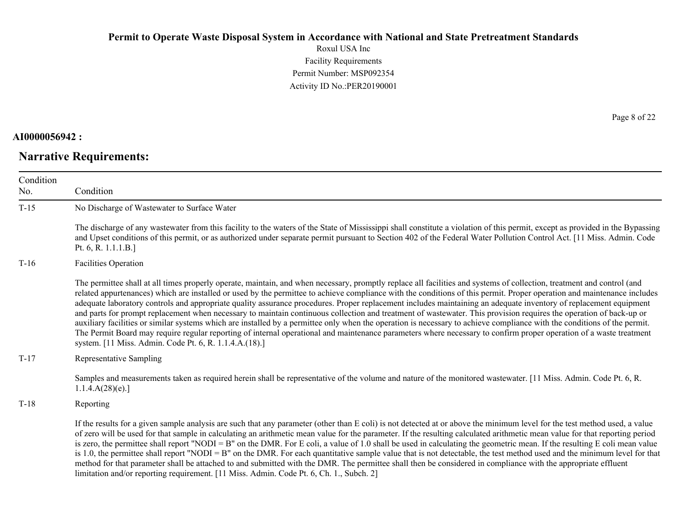Roxul USA Inc Facility Requirements Permit Number: MSP092354 Activity ID No.:PER20190001

### **AI0000056942 :**

# **Narrative Requirements:**

Page 8 of 22

| Condition |                                                                                                                                                                                                                                                                                                                                                                                                                                                                                                                                                                                                                                                                                                                                                                                                                                                                                                                                                                                                                                                                                                          |
|-----------|----------------------------------------------------------------------------------------------------------------------------------------------------------------------------------------------------------------------------------------------------------------------------------------------------------------------------------------------------------------------------------------------------------------------------------------------------------------------------------------------------------------------------------------------------------------------------------------------------------------------------------------------------------------------------------------------------------------------------------------------------------------------------------------------------------------------------------------------------------------------------------------------------------------------------------------------------------------------------------------------------------------------------------------------------------------------------------------------------------|
| No.       | Condition                                                                                                                                                                                                                                                                                                                                                                                                                                                                                                                                                                                                                                                                                                                                                                                                                                                                                                                                                                                                                                                                                                |
| $T-15$    | No Discharge of Wastewater to Surface Water                                                                                                                                                                                                                                                                                                                                                                                                                                                                                                                                                                                                                                                                                                                                                                                                                                                                                                                                                                                                                                                              |
|           | The discharge of any wastewater from this facility to the waters of the State of Mississippi shall constitute a violation of this permit, except as provided in the Bypassing<br>and Upset conditions of this permit, or as authorized under separate permit pursuant to Section 402 of the Federal Water Pollution Control Act. [11 Miss. Admin. Code<br>Pt. $6, R. 1.1.1.B.]$                                                                                                                                                                                                                                                                                                                                                                                                                                                                                                                                                                                                                                                                                                                          |
| $T-16$    | <b>Facilities Operation</b>                                                                                                                                                                                                                                                                                                                                                                                                                                                                                                                                                                                                                                                                                                                                                                                                                                                                                                                                                                                                                                                                              |
|           | The permittee shall at all times properly operate, maintain, and when necessary, promptly replace all facilities and systems of collection, treatment and control (and<br>related appurtenances) which are installed or used by the permittee to achieve compliance with the conditions of this permit. Proper operation and maintenance includes<br>adequate laboratory controls and appropriate quality assurance procedures. Proper replacement includes maintaining an adequate inventory of replacement equipment<br>and parts for prompt replacement when necessary to maintain continuous collection and treatment of wastewater. This provision requires the operation of back-up or<br>auxiliary facilities or similar systems which are installed by a permittee only when the operation is necessary to achieve compliance with the conditions of the permit.<br>The Permit Board may require regular reporting of internal operational and maintenance parameters where necessary to confirm proper operation of a waste treatment<br>system. [11 Miss. Admin. Code Pt. 6, R. 1.1.4.A.(18).] |
| $T-17$    | Representative Sampling                                                                                                                                                                                                                                                                                                                                                                                                                                                                                                                                                                                                                                                                                                                                                                                                                                                                                                                                                                                                                                                                                  |
|           | Samples and measurements taken as required herein shall be representative of the volume and nature of the monitored wastewater. [11 Miss. Admin. Code Pt. 6, R.<br>1.1.4.A(28)(e).                                                                                                                                                                                                                                                                                                                                                                                                                                                                                                                                                                                                                                                                                                                                                                                                                                                                                                                       |
| $T-18$    | Reporting                                                                                                                                                                                                                                                                                                                                                                                                                                                                                                                                                                                                                                                                                                                                                                                                                                                                                                                                                                                                                                                                                                |
|           | If the results for a given sample analysis are such that any parameter (other than E coli) is not detected at or above the minimum level for the test method used, a value<br>of zero will be used for that sample in calculating an arithmetic mean value for the parameter. If the resulting calculated arithmetic mean value for that reporting period<br>is zero, the permittee shall report "NODI = B" on the DMR. For E coli, a value of 1.0 shall be used in calculating the geometric mean. If the resulting E coli mean value<br>is 1.0, the permittee shall report "NODI = B" on the DMR. For each quantitative sample value that is not detectable, the test method used and the minimum level for that<br>method for that parameter shall be attached to and submitted with the DMR. The permittee shall then be considered in compliance with the appropriate effluent<br>limitation and/or reporting requirement. [11 Miss. Admin. Code Pt. 6, Ch. 1., Subch. 2]                                                                                                                           |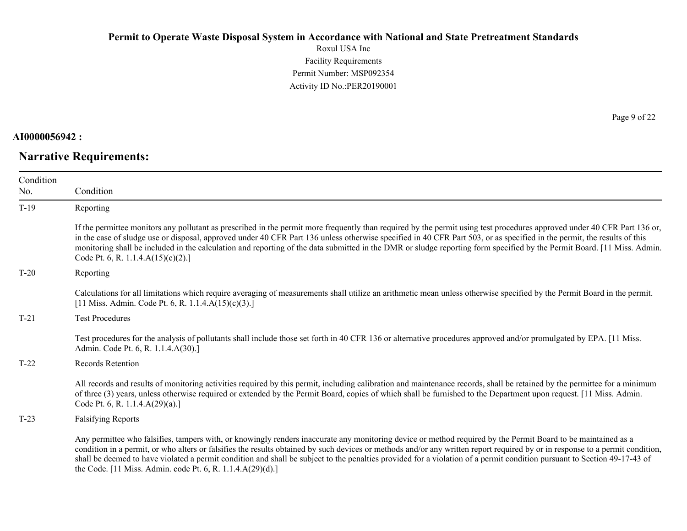Roxul USA Inc Facility Requirements Permit Number: MSP092354 Activity ID No.:PER20190001

### **AI0000056942 :**

# **Narrative Requirements:**

Page 9 of 22

| Condition<br>No. | Condition                                                                                                                                                                                                                                                                                                                                                                                                                                                                                                                                                                |
|------------------|--------------------------------------------------------------------------------------------------------------------------------------------------------------------------------------------------------------------------------------------------------------------------------------------------------------------------------------------------------------------------------------------------------------------------------------------------------------------------------------------------------------------------------------------------------------------------|
| $T-19$           | Reporting                                                                                                                                                                                                                                                                                                                                                                                                                                                                                                                                                                |
|                  | If the permittee monitors any pollutant as prescribed in the permit more frequently than required by the permit using test procedures approved under 40 CFR Part 136 or,<br>in the case of sludge use or disposal, approved under 40 CFR Part 136 unless otherwise specified in 40 CFR Part 503, or as specified in the permit, the results of this<br>monitoring shall be included in the calculation and reporting of the data submitted in the DMR or sludge reporting form specified by the Permit Board. [11 Miss. Admin.<br>Code Pt. 6, R. 1.1.4. $A(15)(c)(2)$ .] |
| $T-20$           | Reporting                                                                                                                                                                                                                                                                                                                                                                                                                                                                                                                                                                |
|                  | Calculations for all limitations which require averaging of measurements shall utilize an arithmetic mean unless otherwise specified by the Permit Board in the permit.<br>[11 Miss. Admin. Code Pt. 6, R. 1.1.4.A(15)(c)(3).]                                                                                                                                                                                                                                                                                                                                           |
| $T-21$           | <b>Test Procedures</b>                                                                                                                                                                                                                                                                                                                                                                                                                                                                                                                                                   |
|                  | Test procedures for the analysis of pollutants shall include those set forth in 40 CFR 136 or alternative procedures approved and/or promulgated by EPA. [11 Miss.]<br>Admin. Code Pt. 6, R. 1.1.4.A(30).]                                                                                                                                                                                                                                                                                                                                                               |
| $T-22$           | Records Retention                                                                                                                                                                                                                                                                                                                                                                                                                                                                                                                                                        |
|                  | All records and results of monitoring activities required by this permit, including calibration and maintenance records, shall be retained by the permittee for a minimum<br>of three (3) years, unless otherwise required or extended by the Permit Board, copies of which shall be furnished to the Department upon request. [11 Miss. Admin.<br>Code Pt. 6, R. 1.1.4.A(29)(a).]                                                                                                                                                                                       |
| $T-23$           | <b>Falsifying Reports</b>                                                                                                                                                                                                                                                                                                                                                                                                                                                                                                                                                |
|                  | Any permittee who falsifies, tampers with, or knowingly renders inaccurate any monitoring device or method required by the Permit Board to be maintained as a<br>condition in a permit, or who alters or falsifies the results obtained by such devices or methods and/or any written report required by or in response to a permit condition,<br>shall be deemed to have violated a permit condition and shall be subject to the penalties provided for a violation of a permit condition pursuant to Section 49-17-43 of                                               |

the Code. [11 Miss. Admin. code Pt. 6, R. 1.1.4.A(29)(d).]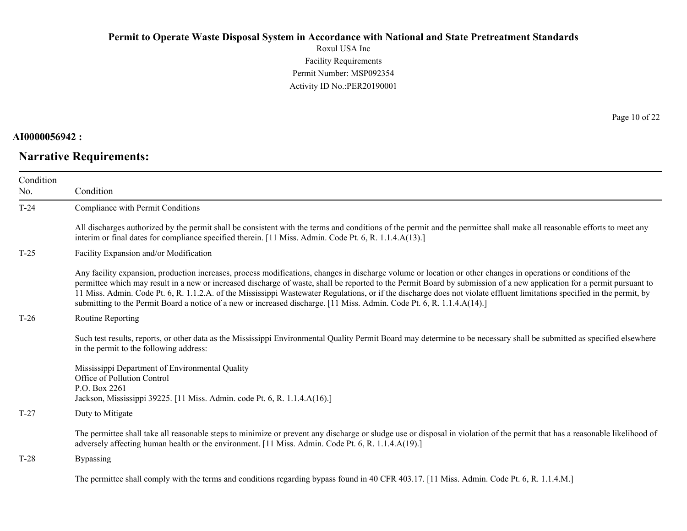Roxul USA Inc Facility Requirements Permit Number: MSP092354 Activity ID No.:PER20190001

### **AI0000056942 :**

# **Narrative Requirements:**

Page 10 of 22

| Condition<br>No. | Condition                                                                                                                                                                                                                                                                                                                                                                                                                                                                                                                                                                                                                                        |
|------------------|--------------------------------------------------------------------------------------------------------------------------------------------------------------------------------------------------------------------------------------------------------------------------------------------------------------------------------------------------------------------------------------------------------------------------------------------------------------------------------------------------------------------------------------------------------------------------------------------------------------------------------------------------|
| $T-24$           | Compliance with Permit Conditions                                                                                                                                                                                                                                                                                                                                                                                                                                                                                                                                                                                                                |
|                  | All discharges authorized by the permit shall be consistent with the terms and conditions of the permit and the permittee shall make all reasonable efforts to meet any<br>interim or final dates for compliance specified therein. [11 Miss. Admin. Code Pt. 6, R. 1.1.4.A(13).]                                                                                                                                                                                                                                                                                                                                                                |
| $T-25$           | Facility Expansion and/or Modification                                                                                                                                                                                                                                                                                                                                                                                                                                                                                                                                                                                                           |
|                  | Any facility expansion, production increases, process modifications, changes in discharge volume or location or other changes in operations or conditions of the<br>permittee which may result in a new or increased discharge of waste, shall be reported to the Permit Board by submission of a new application for a permit pursuant to<br>11 Miss. Admin. Code Pt. 6, R. 1.1.2.A. of the Mississippi Wastewater Regulations, or if the discharge does not violate effluent limitations specified in the permit, by<br>submitting to the Permit Board a notice of a new or increased discharge. [11 Miss. Admin. Code Pt. 6, R. 1.1.4.A(14).] |
| $T-26$           | Routine Reporting                                                                                                                                                                                                                                                                                                                                                                                                                                                                                                                                                                                                                                |
|                  | Such test results, reports, or other data as the Mississippi Environmental Quality Permit Board may determine to be necessary shall be submitted as specified elsewhere<br>in the permit to the following address:                                                                                                                                                                                                                                                                                                                                                                                                                               |
|                  | Mississippi Department of Environmental Quality<br>Office of Pollution Control<br>P.O. Box 2261<br>Jackson, Mississippi 39225. [11 Miss. Admin. code Pt. 6, R. 1.1.4.A(16).]                                                                                                                                                                                                                                                                                                                                                                                                                                                                     |
| $T-27$           | Duty to Mitigate                                                                                                                                                                                                                                                                                                                                                                                                                                                                                                                                                                                                                                 |
|                  | The permittee shall take all reasonable steps to minimize or prevent any discharge or sludge use or disposal in violation of the permit that has a reasonable likelihood of<br>adversely affecting human health or the environment. [11 Miss. Admin. Code Pt. 6, R. 1.1.4.A(19).]                                                                                                                                                                                                                                                                                                                                                                |
| $T-28$           | <b>Bypassing</b>                                                                                                                                                                                                                                                                                                                                                                                                                                                                                                                                                                                                                                 |
|                  | The permittee shall comply with the terms and conditions regarding bypass found in 40 CFR 403.17. [11 Miss. Admin. Code Pt. 6, R. 1.1.4.M.]                                                                                                                                                                                                                                                                                                                                                                                                                                                                                                      |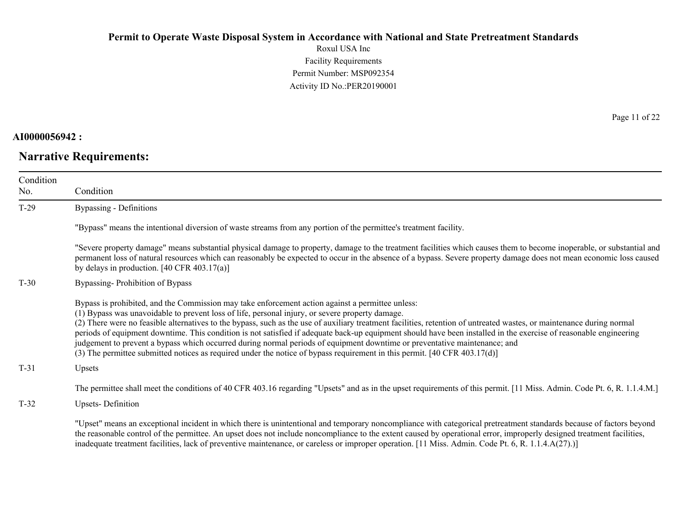Roxul USA Inc Facility Requirements Permit Number: MSP092354 Activity ID No.:PER20190001

**AI0000056942 :**

**Narrative Requirements:**

Page 11 of 22

| Condition<br>No. | Condition                                                                                                                                                                                                                                                                                                                                                                                                                                                                                                                                                                                                                                                                                                                                                                                                   |
|------------------|-------------------------------------------------------------------------------------------------------------------------------------------------------------------------------------------------------------------------------------------------------------------------------------------------------------------------------------------------------------------------------------------------------------------------------------------------------------------------------------------------------------------------------------------------------------------------------------------------------------------------------------------------------------------------------------------------------------------------------------------------------------------------------------------------------------|
| $T-29$           | Bypassing - Definitions                                                                                                                                                                                                                                                                                                                                                                                                                                                                                                                                                                                                                                                                                                                                                                                     |
|                  | "Bypass" means the intentional diversion of waste streams from any portion of the permittee's treatment facility.                                                                                                                                                                                                                                                                                                                                                                                                                                                                                                                                                                                                                                                                                           |
|                  | "Severe property damage" means substantial physical damage to property, damage to the treatment facilities which causes them to become inoperable, or substantial and<br>permanent loss of natural resources which can reasonably be expected to occur in the absence of a bypass. Severe property damage does not mean economic loss caused<br>by delays in production. $[40 \text{ CFR } 403.17(a)]$                                                                                                                                                                                                                                                                                                                                                                                                      |
| $T-30$           | Bypassing-Prohibition of Bypass                                                                                                                                                                                                                                                                                                                                                                                                                                                                                                                                                                                                                                                                                                                                                                             |
|                  | Bypass is prohibited, and the Commission may take enforcement action against a permittee unless:<br>(1) Bypass was unavoidable to prevent loss of life, personal injury, or severe property damage.<br>(2) There were no feasible alternatives to the bypass, such as the use of auxiliary treatment facilities, retention of untreated wastes, or maintenance during normal<br>periods of equipment downtime. This condition is not satisfied if adequate back-up equipment should have been installed in the exercise of reasonable engineering<br>judgement to prevent a bypass which occurred during normal periods of equipment downtime or preventative maintenance; and<br>(3) The permittee submitted notices as required under the notice of bypass requirement in this permit. [40 CFR 403.17(d)] |
| $T-31$           | Upsets                                                                                                                                                                                                                                                                                                                                                                                                                                                                                                                                                                                                                                                                                                                                                                                                      |
|                  | The permittee shall meet the conditions of 40 CFR 403.16 regarding "Upsets" and as in the upset requirements of this permit. [11 Miss. Admin. Code Pt. 6, R. 1.1.4.M.]                                                                                                                                                                                                                                                                                                                                                                                                                                                                                                                                                                                                                                      |
| $T-32$           | <b>Upsets-Definition</b>                                                                                                                                                                                                                                                                                                                                                                                                                                                                                                                                                                                                                                                                                                                                                                                    |
|                  | "Upset" means an exceptional incident in which there is unintentional and temporary noncompliance with categorical pretreatment standards because of factors beyond<br>the reasonable control of the permittee. An upset does not include noncompliance to the extent caused by operational error, improperly designed treatment facilities,<br>inadequate treatment facilities, lack of preventive maintenance, or careless or improper operation. [11 Miss. Admin. Code Pt. 6, R. 1.1.4.A(27).)]                                                                                                                                                                                                                                                                                                          |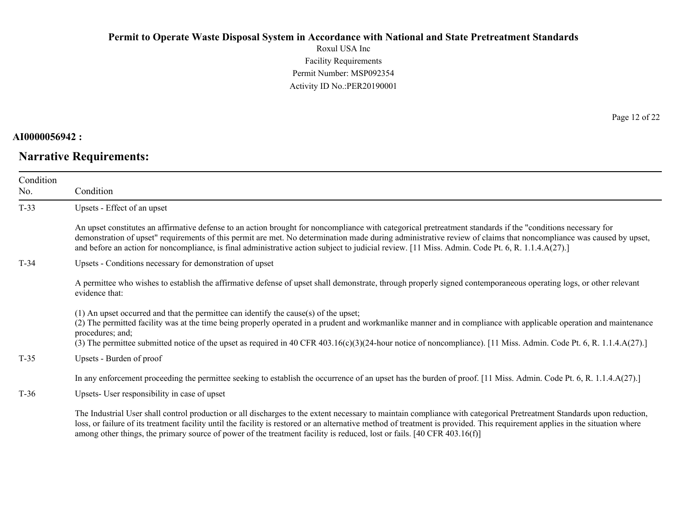Roxul USA Inc Facility Requirements Permit Number: MSP092354 Activity ID No.:PER20190001

### **AI0000056942 :**

# **Narrative Requirements:**

Page 12 of 22

| Condition<br>No. | Condition                                                                                                                                                                                                                                                                                                                                                                                                                                                                            |
|------------------|--------------------------------------------------------------------------------------------------------------------------------------------------------------------------------------------------------------------------------------------------------------------------------------------------------------------------------------------------------------------------------------------------------------------------------------------------------------------------------------|
| $T-33$           | Upsets - Effect of an upset                                                                                                                                                                                                                                                                                                                                                                                                                                                          |
|                  | An upset constitutes an affirmative defense to an action brought for noncompliance with categorical pretreatment standards if the "conditions necessary for<br>demonstration of upset" requirements of this permit are met. No determination made during administrative review of claims that noncompliance was caused by upset,<br>and before an action for noncompliance, is final administrative action subject to judicial review. [11 Miss. Admin. Code Pt. 6, R. 1.1.4.A(27).] |
| $T-34$           | Upsets - Conditions necessary for demonstration of upset                                                                                                                                                                                                                                                                                                                                                                                                                             |
|                  | A permittee who wishes to establish the affirmative defense of upset shall demonstrate, through properly signed contemporaneous operating logs, or other relevant<br>evidence that:                                                                                                                                                                                                                                                                                                  |
|                  | (1) An upset occurred and that the permittee can identify the cause(s) of the upset;<br>(2) The permitted facility was at the time being properly operated in a prudent and workmanlike manner and in compliance with applicable operation and maintenance<br>procedures; and;<br>(3) The permittee submitted notice of the upset as required in 40 CFR 403.16(c)(3)(24-hour notice of noncompliance). [11 Miss. Admin. Code Pt. 6, R. 1.1.4.A(27).]                                 |
| $T-35$           | Upsets - Burden of proof                                                                                                                                                                                                                                                                                                                                                                                                                                                             |
|                  | In any enforcement proceeding the permittee seeking to establish the occurrence of an upset has the burden of proof. [11 Miss. Admin. Code Pt. 6, R. 1.1.4.A(27).]                                                                                                                                                                                                                                                                                                                   |
| $T-36$           | Upsets- User responsibility in case of upset                                                                                                                                                                                                                                                                                                                                                                                                                                         |
|                  | The Industrial User shall control production or all discharges to the extent necessary to maintain compliance with categorical Pretreatment Standards upon reduction,<br>loss, or failure of its treatment facility until the facility is restored or an alternative method of treatment is provided. This requirement applies in the situation where<br>among other things, the primary source of power of the treatment facility is reduced, lost or fails. [40 CFR 403.16(f)]     |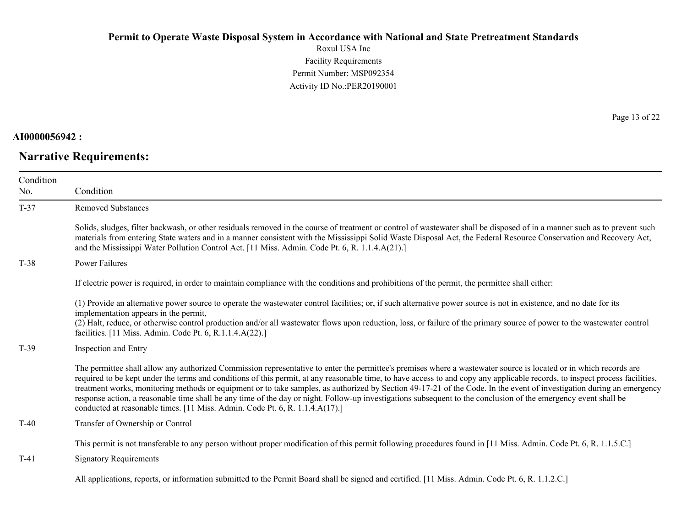Roxul USA Inc Facility Requirements Permit Number: MSP092354 Activity ID No.:PER20190001

### **AI0000056942 :**

### **Narrative Requirements:**

Page 13 of 22

| Condition | Condition                                                                                                                                                                                                                                                                                                                                                                                                                                                                                                                                                                                                                                                                                                                                                                     |
|-----------|-------------------------------------------------------------------------------------------------------------------------------------------------------------------------------------------------------------------------------------------------------------------------------------------------------------------------------------------------------------------------------------------------------------------------------------------------------------------------------------------------------------------------------------------------------------------------------------------------------------------------------------------------------------------------------------------------------------------------------------------------------------------------------|
| No.       |                                                                                                                                                                                                                                                                                                                                                                                                                                                                                                                                                                                                                                                                                                                                                                               |
| $T-37$    | <b>Removed Substances</b>                                                                                                                                                                                                                                                                                                                                                                                                                                                                                                                                                                                                                                                                                                                                                     |
|           | Solids, sludges, filter backwash, or other residuals removed in the course of treatment or control of wastewater shall be disposed of in a manner such as to prevent such<br>materials from entering State waters and in a manner consistent with the Mississippi Solid Waste Disposal Act, the Federal Resource Conservation and Recovery Act,<br>and the Mississippi Water Pollution Control Act. [11 Miss. Admin. Code Pt. 6, R. 1.1.4.A(21).]                                                                                                                                                                                                                                                                                                                             |
| $T-38$    | Power Failures                                                                                                                                                                                                                                                                                                                                                                                                                                                                                                                                                                                                                                                                                                                                                                |
|           | If electric power is required, in order to maintain compliance with the conditions and prohibitions of the permit, the permittee shall either:                                                                                                                                                                                                                                                                                                                                                                                                                                                                                                                                                                                                                                |
|           | (1) Provide an alternative power source to operate the wastewater control facilities; or, if such alternative power source is not in existence, and no date for its<br>implementation appears in the permit,<br>(2) Halt, reduce, or otherwise control production and/or all wastewater flows upon reduction, loss, or failure of the primary source of power to the wastewater control                                                                                                                                                                                                                                                                                                                                                                                       |
|           | facilities. [11 Miss. Admin. Code Pt. 6, R.1.1.4.A(22).]                                                                                                                                                                                                                                                                                                                                                                                                                                                                                                                                                                                                                                                                                                                      |
| $T-39$    | Inspection and Entry                                                                                                                                                                                                                                                                                                                                                                                                                                                                                                                                                                                                                                                                                                                                                          |
|           | The permittee shall allow any authorized Commission representative to enter the permittee's premises where a wastewater source is located or in which records are<br>required to be kept under the terms and conditions of this permit, at any reasonable time, to have access to and copy any applicable records, to inspect process facilities,<br>treatment works, monitoring methods or equipment or to take samples, as authorized by Section 49-17-21 of the Code. In the event of investigation during an emergency<br>response action, a reasonable time shall be any time of the day or night. Follow-up investigations subsequent to the conclusion of the emergency event shall be<br>conducted at reasonable times. [11 Miss. Admin. Code Pt. 6, R. 1.1.4.A(17).] |
| $T-40$    | Transfer of Ownership or Control                                                                                                                                                                                                                                                                                                                                                                                                                                                                                                                                                                                                                                                                                                                                              |
|           | This permit is not transferable to any person without proper modification of this permit following procedures found in [11 Miss. Admin. Code Pt. 6, R. 1.1.5.C.]                                                                                                                                                                                                                                                                                                                                                                                                                                                                                                                                                                                                              |
| $T-41$    | <b>Signatory Requirements</b>                                                                                                                                                                                                                                                                                                                                                                                                                                                                                                                                                                                                                                                                                                                                                 |
|           |                                                                                                                                                                                                                                                                                                                                                                                                                                                                                                                                                                                                                                                                                                                                                                               |

All applications, reports, or information submitted to the Permit Board shall be signed and certified. [11 Miss. Admin. Code Pt. 6, R. 1.1.2.C.]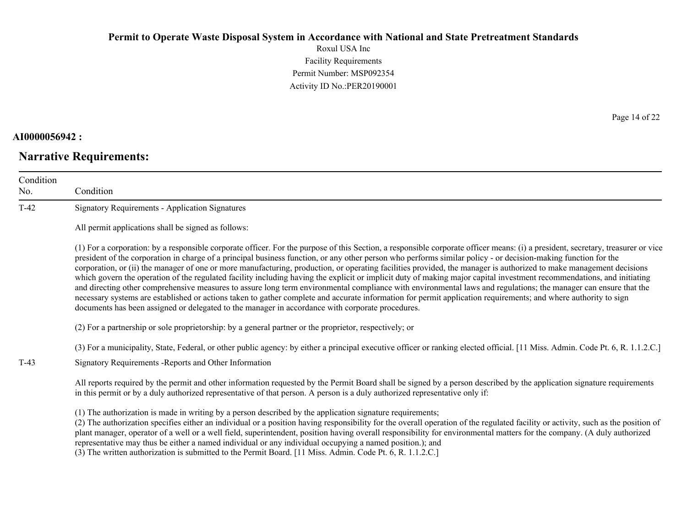Roxul USA Inc Facility Requirements Permit Number: MSP092354 Activity ID No.:PER20190001

### **AI0000056942 :**

# **Narrative Requirements:**

Page 14 of 22

| Condition<br>No. | Condition                                                                                                                                                                                                                                                                                                                                                                                                                                                                                                                                                                                                                                                                                                                                                                                                                                                                                                                                                                                                                                                                                                                                      |
|------------------|------------------------------------------------------------------------------------------------------------------------------------------------------------------------------------------------------------------------------------------------------------------------------------------------------------------------------------------------------------------------------------------------------------------------------------------------------------------------------------------------------------------------------------------------------------------------------------------------------------------------------------------------------------------------------------------------------------------------------------------------------------------------------------------------------------------------------------------------------------------------------------------------------------------------------------------------------------------------------------------------------------------------------------------------------------------------------------------------------------------------------------------------|
| $T-42$           | <b>Signatory Requirements - Application Signatures</b>                                                                                                                                                                                                                                                                                                                                                                                                                                                                                                                                                                                                                                                                                                                                                                                                                                                                                                                                                                                                                                                                                         |
|                  | All permit applications shall be signed as follows:                                                                                                                                                                                                                                                                                                                                                                                                                                                                                                                                                                                                                                                                                                                                                                                                                                                                                                                                                                                                                                                                                            |
|                  | (1) For a corporation: by a responsible corporate officer. For the purpose of this Section, a responsible corporate officer means: (i) a president, secretary, treasurer or vice<br>president of the corporation in charge of a principal business function, or any other person who performs similar policy - or decision-making function for the<br>corporation, or (ii) the manager of one or more manufacturing, production, or operating facilities provided, the manager is authorized to make management decisions<br>which govern the operation of the regulated facility including having the explicit or implicit duty of making major capital investment recommendations, and initiating<br>and directing other comprehensive measures to assure long term environmental compliance with environmental laws and regulations; the manager can ensure that the<br>necessary systems are established or actions taken to gather complete and accurate information for permit application requirements; and where authority to sign<br>documents has been assigned or delegated to the manager in accordance with corporate procedures. |
|                  | (2) For a partnership or sole proprietorship: by a general partner or the proprietor, respectively; or                                                                                                                                                                                                                                                                                                                                                                                                                                                                                                                                                                                                                                                                                                                                                                                                                                                                                                                                                                                                                                         |
|                  | (3) For a municipality, State, Federal, or other public agency: by either a principal executive officer or ranking elected official. [11 Miss. Admin. Code Pt. 6, R. 1.1.2.C.]                                                                                                                                                                                                                                                                                                                                                                                                                                                                                                                                                                                                                                                                                                                                                                                                                                                                                                                                                                 |
| $T-43$           | Signatory Requirements - Reports and Other Information                                                                                                                                                                                                                                                                                                                                                                                                                                                                                                                                                                                                                                                                                                                                                                                                                                                                                                                                                                                                                                                                                         |
|                  | All reports required by the permit and other information requested by the Permit Board shall be signed by a person described by the application signature requirements<br>in this permit or by a duly authorized representative of that person. A person is a duly authorized representative only if:                                                                                                                                                                                                                                                                                                                                                                                                                                                                                                                                                                                                                                                                                                                                                                                                                                          |
|                  | (1) The authorization is made in writing by a person described by the application signature requirements;<br>(2) The authorization specifies either an individual or a position having responsibility for the overall operation of the regulated facility or activity, such as the position of<br>plant manager, operator of a well or a well field, superintendent, position having overall responsibility for environmental matters for the company. (A duly authorized<br>representative may thus be either a named individual or any individual occupying a named position.); and                                                                                                                                                                                                                                                                                                                                                                                                                                                                                                                                                          |

(3) The written authorization is submitted to the Permit Board. [11 Miss. Admin. Code Pt. 6, R. 1.1.2.C.]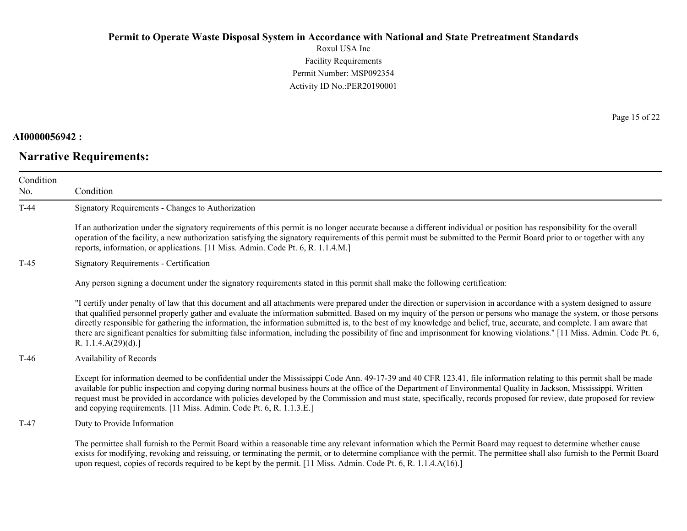Roxul USA Inc Facility Requirements Permit Number: MSP092354 Activity ID No.:PER20190001

### **AI0000056942 :**

# **Narrative Requirements:**

Page 15 of 22

| Condition<br>No. | Condition                                                                                                                                                                                                                                                                                                                                                                                                                                                                                                                                                                                                                                                                                                                        |
|------------------|----------------------------------------------------------------------------------------------------------------------------------------------------------------------------------------------------------------------------------------------------------------------------------------------------------------------------------------------------------------------------------------------------------------------------------------------------------------------------------------------------------------------------------------------------------------------------------------------------------------------------------------------------------------------------------------------------------------------------------|
| $T-44$           | Signatory Requirements - Changes to Authorization                                                                                                                                                                                                                                                                                                                                                                                                                                                                                                                                                                                                                                                                                |
|                  | If an authorization under the signatory requirements of this permit is no longer accurate because a different individual or position has responsibility for the overall<br>operation of the facility, a new authorization satisfying the signatory requirements of this permit must be submitted to the Permit Board prior to or together with any<br>reports, information, or applications. [11 Miss. Admin. Code Pt. 6, R. 1.1.4.M.]                                                                                                                                                                                                                                                                                           |
| T-45             | Signatory Requirements - Certification                                                                                                                                                                                                                                                                                                                                                                                                                                                                                                                                                                                                                                                                                           |
|                  | Any person signing a document under the signatory requirements stated in this permit shall make the following certification:                                                                                                                                                                                                                                                                                                                                                                                                                                                                                                                                                                                                     |
|                  | "I certify under penalty of law that this document and all attachments were prepared under the direction or supervision in accordance with a system designed to assure<br>that qualified personnel properly gather and evaluate the information submitted. Based on my inquiry of the person or persons who manage the system, or those persons<br>directly responsible for gathering the information, the information submitted is, to the best of my knowledge and belief, true, accurate, and complete. I am aware that<br>there are significant penalties for submitting false information, including the possibility of fine and imprisonment for knowing violations." [11 Miss. Admin. Code Pt. 6,<br>R. $1.1.4.A(29)(d).$ |
| T-46             | Availability of Records                                                                                                                                                                                                                                                                                                                                                                                                                                                                                                                                                                                                                                                                                                          |
|                  | Except for information deemed to be confidential under the Mississippi Code Ann. 49-17-39 and 40 CFR 123.41, file information relating to this permit shall be made<br>available for public inspection and copying during normal business hours at the office of the Department of Environmental Quality in Jackson, Mississippi. Written<br>request must be provided in accordance with policies developed by the Commission and must state, specifically, records proposed for review, date proposed for review<br>and copying requirements. [11 Miss. Admin. Code Pt. 6, R. 1.1.3.E.]                                                                                                                                         |
| $T-47$           | Duty to Provide Information                                                                                                                                                                                                                                                                                                                                                                                                                                                                                                                                                                                                                                                                                                      |
|                  | The permittee shall furnish to the Permit Board within a reasonable time any relevant information which the Permit Board may request to determine whether cause<br>exists for modifying, revoking and reissuing, or terminating the permit, or to determine compliance with the permit. The permittee shall also furnish to the Permit Board<br>upon request, copies of records required to be kept by the permit. [11 Miss. Admin. Code Pt. 6, R. 1.1.4.A(16).]                                                                                                                                                                                                                                                                 |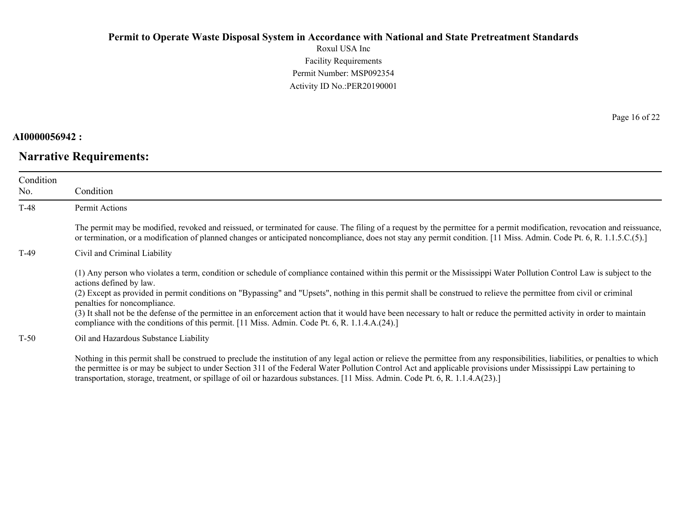Roxul USA Inc Facility Requirements Permit Number: MSP092354 Activity ID No.:PER20190001

### **AI0000056942 :**

### **Narrative Requirements:**

Page 16 of 22

| Condition<br>No. | Condition                                                                                                                                                                                                                                                                                                                                                                                                                                                                                                                                                                                                                                                                            |
|------------------|--------------------------------------------------------------------------------------------------------------------------------------------------------------------------------------------------------------------------------------------------------------------------------------------------------------------------------------------------------------------------------------------------------------------------------------------------------------------------------------------------------------------------------------------------------------------------------------------------------------------------------------------------------------------------------------|
| $T-48$           | Permit Actions                                                                                                                                                                                                                                                                                                                                                                                                                                                                                                                                                                                                                                                                       |
|                  | The permit may be modified, revoked and reissued, or terminated for cause. The filing of a request by the permittee for a permit modification, revocation and reissuance,<br>or termination, or a modification of planned changes or anticipated noncompliance, does not stay any permit condition. [11 Miss. Admin. Code Pt. 6, R. 1.1.5.C.(5).]                                                                                                                                                                                                                                                                                                                                    |
| $T-49$           | Civil and Criminal Liability                                                                                                                                                                                                                                                                                                                                                                                                                                                                                                                                                                                                                                                         |
|                  | (1) Any person who violates a term, condition or schedule of compliance contained within this permit or the Mississippi Water Pollution Control Law is subject to the<br>actions defined by law.<br>(2) Except as provided in permit conditions on "Bypassing" and "Upsets", nothing in this permit shall be construed to relieve the permittee from civil or criminal<br>penalties for noncompliance.<br>(3) It shall not be the defense of the permittee in an enforcement action that it would have been necessary to halt or reduce the permitted activity in order to maintain<br>compliance with the conditions of this permit. [11 Miss. Admin. Code Pt. 6, R. 1.1.4.A.(24).] |
| $T-50$           | Oil and Hazardous Substance Liability                                                                                                                                                                                                                                                                                                                                                                                                                                                                                                                                                                                                                                                |
|                  | Nothing in this permit shall be construed to preclude the institution of any legal action or relieve the permittee from any responsibilities, liabilities, or penalties to which<br>the generated to concert the interest of the Center 211 of the Economial Western Deltation Central Associated descriptions and the Michael Terms restricted to a                                                                                                                                                                                                                                                                                                                                 |

the permittee is or may be subject to under Section 311 of the Federal Water Pollution Control Act and applicable provisions under Mississippi Law pertaining to transportation, storage, treatment, or spillage of oil or hazardous substances. [11 Miss. Admin. Code Pt. 6, R. 1.1.4.A(23).]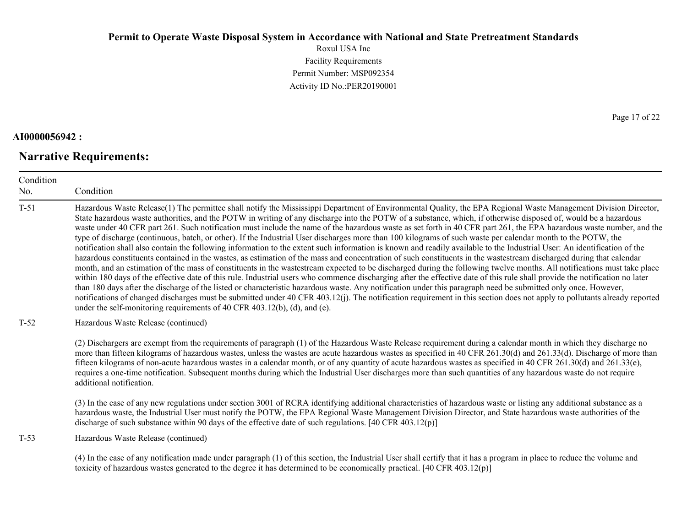Roxul USA Inc Facility Requirements Permit Number: MSP092354 Activity ID No.:PER20190001

### **AI0000056942 :**

# **Narrative Requirements:**

Page 17 of 22

| Condition<br>No. | Condition                                                                                                                                                                                                                                                                                                                                                                                                                                                                                                                                                                                                                                                                                                                                                                                                                                                                                                                                                                                                                                                                                                                                                                                                                                                                                                                                                                                                                                                                                                                                                                                                                                                                                                                                                                                                          |
|------------------|--------------------------------------------------------------------------------------------------------------------------------------------------------------------------------------------------------------------------------------------------------------------------------------------------------------------------------------------------------------------------------------------------------------------------------------------------------------------------------------------------------------------------------------------------------------------------------------------------------------------------------------------------------------------------------------------------------------------------------------------------------------------------------------------------------------------------------------------------------------------------------------------------------------------------------------------------------------------------------------------------------------------------------------------------------------------------------------------------------------------------------------------------------------------------------------------------------------------------------------------------------------------------------------------------------------------------------------------------------------------------------------------------------------------------------------------------------------------------------------------------------------------------------------------------------------------------------------------------------------------------------------------------------------------------------------------------------------------------------------------------------------------------------------------------------------------|
| $T-51$           | Hazardous Waste Release(1) The permittee shall notify the Mississippi Department of Environmental Quality, the EPA Regional Waste Management Division Director,<br>State hazardous waste authorities, and the POTW in writing of any discharge into the POTW of a substance, which, if otherwise disposed of, would be a hazardous<br>waste under 40 CFR part 261. Such notification must include the name of the hazardous waste as set forth in 40 CFR part 261, the EPA hazardous waste number, and the<br>type of discharge (continuous, batch, or other). If the Industrial User discharges more than 100 kilograms of such waste per calendar month to the POTW, the<br>notification shall also contain the following information to the extent such information is known and readily available to the Industrial User: An identification of the<br>hazardous constituents contained in the wastes, as estimation of the mass and concentration of such constituents in the wastestream discharged during that calendar<br>month, and an estimation of the mass of constituents in the wastestream expected to be discharged during the following twelve months. All notifications must take place<br>within 180 days of the effective date of this rule. Industrial users who commence discharging after the effective date of this rule shall provide the notification no later<br>than 180 days after the discharge of the listed or characteristic hazardous waste. Any notification under this paragraph need be submitted only once. However,<br>notifications of changed discharges must be submitted under 40 CFR 403.12(j). The notification requirement in this section does not apply to pollutants already reported<br>under the self-monitoring requirements of 40 CFR 403.12(b), (d), and (e). |
| $T-52$           | Hazardous Waste Release (continued)                                                                                                                                                                                                                                                                                                                                                                                                                                                                                                                                                                                                                                                                                                                                                                                                                                                                                                                                                                                                                                                                                                                                                                                                                                                                                                                                                                                                                                                                                                                                                                                                                                                                                                                                                                                |
|                  | (2) Dischargers are exempt from the requirements of paragraph (1) of the Hazardous Waste Release requirement during a calendar month in which they discharge no<br>more than fifteen kilograms of hazardous wastes, unless the wastes are acute hazardous wastes as specified in 40 CFR 261.30(d) and 261.33(d). Discharge of more than<br>fifteen kilograms of non-acute hazardous wastes in a calendar month, or of any quantity of acute hazardous wastes as specified in 40 CFR 261.30(d) and 261.33(e),<br>requires a one-time notification. Subsequent months during which the Industrial User discharges more than such quantities of any hazardous waste do not require<br>additional notification.                                                                                                                                                                                                                                                                                                                                                                                                                                                                                                                                                                                                                                                                                                                                                                                                                                                                                                                                                                                                                                                                                                        |
|                  | (3) In the case of any new regulations under section 3001 of RCRA identifying additional characteristics of hazardous waste or listing any additional substance as a<br>hazardous waste, the Industrial User must notify the POTW, the EPA Regional Waste Management Division Director, and State hazardous waste authorities of the<br>discharge of such substance within 90 days of the effective date of such regulations. $[40 \text{ CFR } 403.12(p)]$                                                                                                                                                                                                                                                                                                                                                                                                                                                                                                                                                                                                                                                                                                                                                                                                                                                                                                                                                                                                                                                                                                                                                                                                                                                                                                                                                        |
| $T-53$           | Hazardous Waste Release (continued)                                                                                                                                                                                                                                                                                                                                                                                                                                                                                                                                                                                                                                                                                                                                                                                                                                                                                                                                                                                                                                                                                                                                                                                                                                                                                                                                                                                                                                                                                                                                                                                                                                                                                                                                                                                |
|                  | (4) In the case of any notification made under paragraph (1) of this section, the Industrial User shall certify that it has a program in place to reduce the volume and<br>toxicity of hazardous wastes generated to the degree it has determined to be economically practical. [40 CFR 403.12(p)]                                                                                                                                                                                                                                                                                                                                                                                                                                                                                                                                                                                                                                                                                                                                                                                                                                                                                                                                                                                                                                                                                                                                                                                                                                                                                                                                                                                                                                                                                                                 |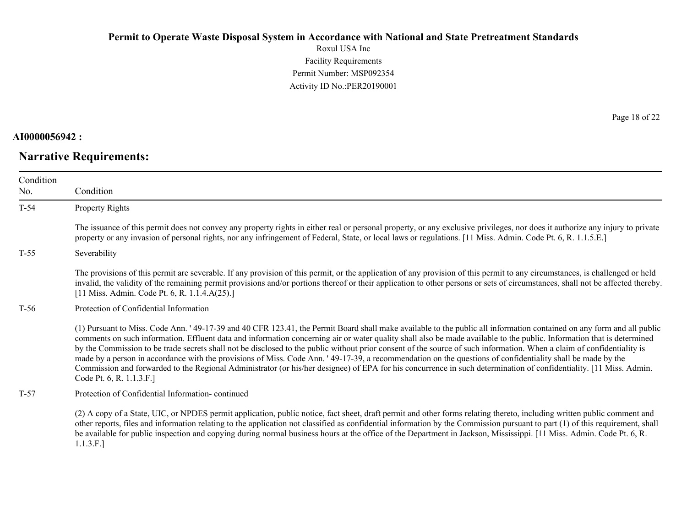Roxul USA Inc Facility Requirements Permit Number: MSP092354 Activity ID No.:PER20190001

### **AI0000056942 :**

# **Narrative Requirements:**

Page 18 of 22

| Condition<br>No. | Condition                                                                                                                                                                                                                                                                                                                                                                                                                                                                                                                                                                                                                                                                                                                                                                                                                                                                                 |
|------------------|-------------------------------------------------------------------------------------------------------------------------------------------------------------------------------------------------------------------------------------------------------------------------------------------------------------------------------------------------------------------------------------------------------------------------------------------------------------------------------------------------------------------------------------------------------------------------------------------------------------------------------------------------------------------------------------------------------------------------------------------------------------------------------------------------------------------------------------------------------------------------------------------|
| $T-54$           | Property Rights                                                                                                                                                                                                                                                                                                                                                                                                                                                                                                                                                                                                                                                                                                                                                                                                                                                                           |
|                  |                                                                                                                                                                                                                                                                                                                                                                                                                                                                                                                                                                                                                                                                                                                                                                                                                                                                                           |
|                  | The issuance of this permit does not convey any property rights in either real or personal property, or any exclusive privileges, nor does it authorize any injury to private<br>property or any invasion of personal rights, nor any infringement of Federal, State, or local laws or regulations. [11 Miss. Admin. Code Pt. 6, R. 1.1.5.E.]                                                                                                                                                                                                                                                                                                                                                                                                                                                                                                                                             |
| $T-55$           | Severability                                                                                                                                                                                                                                                                                                                                                                                                                                                                                                                                                                                                                                                                                                                                                                                                                                                                              |
|                  | The provisions of this permit are severable. If any provision of this permit, or the application of any provision of this permit to any circumstances, is challenged or held<br>invalid, the validity of the remaining permit provisions and/or portions thereof or their application to other persons or sets of circumstances, shall not be affected thereby.<br>[11 Miss. Admin. Code Pt. 6, R. 1.1.4.A(25).]                                                                                                                                                                                                                                                                                                                                                                                                                                                                          |
| T-56             | Protection of Confidential Information                                                                                                                                                                                                                                                                                                                                                                                                                                                                                                                                                                                                                                                                                                                                                                                                                                                    |
|                  | (1) Pursuant to Miss. Code Ann. '49-17-39 and 40 CFR 123.41, the Permit Board shall make available to the public all information contained on any form and all public<br>comments on such information. Effluent data and information concerning air or water quality shall also be made available to the public. Information that is determined<br>by the Commission to be trade secrets shall not be disclosed to the public without prior consent of the source of such information. When a claim of confidentiality is<br>made by a person in accordance with the provisions of Miss. Code Ann. '49-17-39, a recommendation on the questions of confidentiality shall be made by the<br>Commission and forwarded to the Regional Administrator (or his/her designee) of EPA for his concurrence in such determination of confidentiality. [11 Miss. Admin.<br>Code Pt. 6, R. 1.1.3.F.] |
| $T-57$           | Protection of Confidential Information-continued                                                                                                                                                                                                                                                                                                                                                                                                                                                                                                                                                                                                                                                                                                                                                                                                                                          |
|                  | (2) A copy of a State, UIC, or NPDES permit application, public notice, fact sheet, draft permit and other forms relating thereto, including written public comment and<br>other reports, files and information relating to the application not classified as confidential information by the Commission pursuant to part (1) of this requirement, shall<br>be available for public inspection and copying during normal business hours at the office of the Department in Jackson, Mississippi. [11 Miss. Admin. Code Pt. 6, R.                                                                                                                                                                                                                                                                                                                                                          |

1.1.3.F.]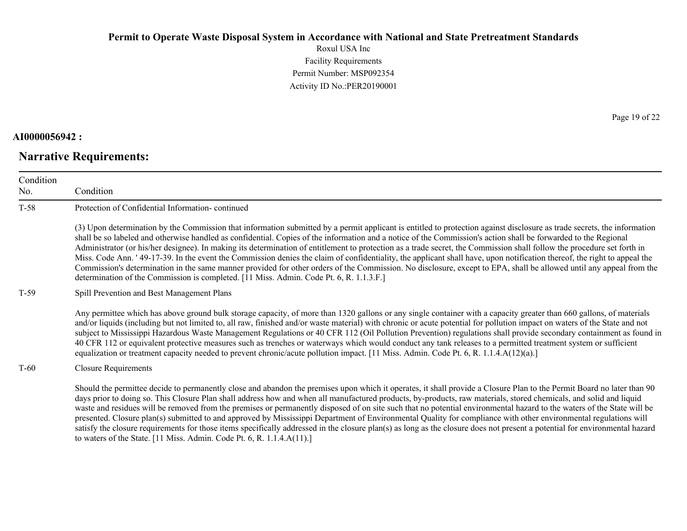Roxul USA Inc Facility Requirements Permit Number: MSP092354 Activity ID No.:PER20190001

### **AI0000056942 :**

# **Narrative Requirements:**

Page 19 of 22

| Condition<br>No. | Condition                                                                                                                                                                                                                                                                                                                                                                                                                                                                                                                                                                                                                                                                                                                                                                                                                                                                                                                                                             |
|------------------|-----------------------------------------------------------------------------------------------------------------------------------------------------------------------------------------------------------------------------------------------------------------------------------------------------------------------------------------------------------------------------------------------------------------------------------------------------------------------------------------------------------------------------------------------------------------------------------------------------------------------------------------------------------------------------------------------------------------------------------------------------------------------------------------------------------------------------------------------------------------------------------------------------------------------------------------------------------------------|
| $T-58$           | Protection of Confidential Information-continued                                                                                                                                                                                                                                                                                                                                                                                                                                                                                                                                                                                                                                                                                                                                                                                                                                                                                                                      |
|                  | (3) Upon determination by the Commission that information submitted by a permit applicant is entitled to protection against disclosure as trade secrets, the information<br>shall be so labeled and otherwise handled as confidential. Copies of the information and a notice of the Commission's action shall be forwarded to the Regional<br>Administrator (or his/her designee). In making its determination of entitlement to protection as a trade secret, the Commission shall follow the procedure set forth in<br>Miss. Code Ann. ' 49-17-39. In the event the Commission denies the claim of confidentiality, the applicant shall have, upon notification thereof, the right to appeal the<br>Commission's determination in the same manner provided for other orders of the Commission. No disclosure, except to EPA, shall be allowed until any appeal from the<br>determination of the Commission is completed. [11 Miss. Admin. Code Pt. 6, R. 1.1.3.F.] |
| $T-59$           | Spill Prevention and Best Management Plans                                                                                                                                                                                                                                                                                                                                                                                                                                                                                                                                                                                                                                                                                                                                                                                                                                                                                                                            |
|                  | Any permittee which has above ground bulk storage capacity, of more than 1320 gallons or any single container with a capacity greater than 660 gallons, of materials<br>and/or liquids (including but not limited to, all raw, finished and/or waste material) with chronic or acute potential for pollution impact on waters of the State and not<br>subject to Mississippi Hazardous Waste Management Regulations or 40 CFR 112 (Oil Pollution Prevention) regulations shall provide secondary containment as found in<br>40 CFR 112 or equivalent protective measures such as trenches or waterways which would conduct any tank releases to a permitted treatment system or sufficient<br>equalization or treatment capacity needed to prevent chronic/acute pollution impact. [11 Miss. Admin. Code Pt. 6, R. 1.1.4.A(12)(a).]                                                                                                                                   |
| $T-60$           | <b>Closure Requirements</b>                                                                                                                                                                                                                                                                                                                                                                                                                                                                                                                                                                                                                                                                                                                                                                                                                                                                                                                                           |
|                  | Should the permittee decide to permanently close and abandon the premises upon which it operates, it shall provide a Closure Plan to the Permit Board no later than 90<br>days prior to doing so. This Closure Plan shall address how and when all manufactured products, by-products, raw materials, stored chemicals, and solid and liquid<br>waste and residues will be removed from the premises or permanently disposed of on site such that no potential environmental hazard to the waters of the State will be<br>presented. Closure plan(s) submitted to and approved by Mississippi Department of Environmental Quality for compliance with other environmental regulations will<br>satisfy the closure requirements for those items specifically addressed in the closure plan(s) as long as the closure does not present a potential for environmental hazard<br>to waters of the State. [11 Miss. Admin. Code Pt. 6, R. 1.1.4. $A(11)$ .]                |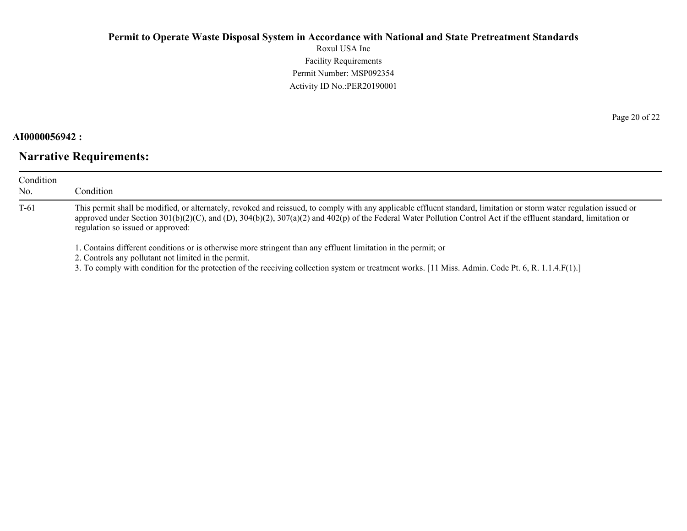Roxul USA Inc Facility Requirements Permit Number: MSP092354 Activity ID No.:PER20190001

### **AI0000056942 :**

### **Narrative Requirements:**

| Condition<br>No. | Condition                                                                                                                                                                                                                                                                                                                                                                     |
|------------------|-------------------------------------------------------------------------------------------------------------------------------------------------------------------------------------------------------------------------------------------------------------------------------------------------------------------------------------------------------------------------------|
| $T-61$           | This permit shall be modified, or alternately, revoked and reissued, to comply with any applicable effluent standard, limitation or storm water regulation issued or<br>approved under Section 301(b)(2)(C), and (D), 304(b)(2), 307(a)(2) and 402(p) of the Federal Water Pollution Control Act if the effluent standard, limitation or<br>regulation so issued or approved: |
|                  | 1. Contains different conditions or is otherwise more stringent than any effluent limitation in the permit; or                                                                                                                                                                                                                                                                |

2. Controls any pollutant not limited in the permit.

3. To comply with condition for the protection of the receiving collection system or treatment works. [11 Miss. Admin. Code Pt. 6, R. 1.1.4.F(1).]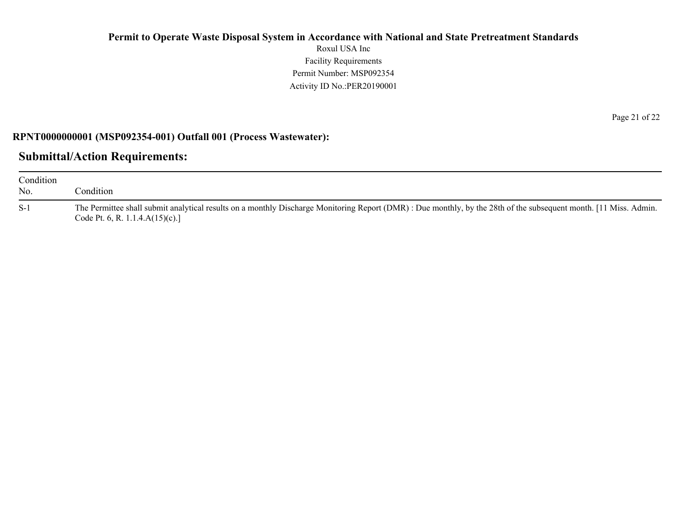Roxul USA Inc Facility Requirements Permit Number: MSP092354 Activity ID No.:PER20190001

### **RPNT0000000001 (MSP092354-001) Outfall 001 (Process Wastewater):**

### **Submittal/Action Requirements:**

| Condition<br>No. | `ondition_                                                                                                                                                                                              |
|------------------|---------------------------------------------------------------------------------------------------------------------------------------------------------------------------------------------------------|
| $S-1$            | The Permittee shall submit analytical results on a monthly Discharge Monitoring Report (DMR): Due monthly, by the 28th of the subsequent month. [11 Miss. Admin.<br>Code Pt. 6, R. 1.1.4. $A(15)(c)$ .] |

Page 21 of 22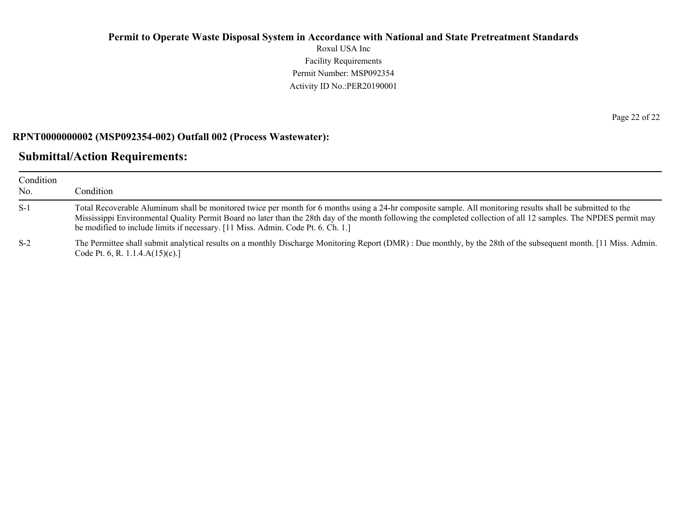Roxul USA Inc Facility Requirements Permit Number: MSP092354 Activity ID No.:PER20190001

#### **RPNT0000000002 (MSP092354-002) Outfall 002 (Process Wastewater):**

### **Submittal/Action Requirements:**

| Condition<br>No. | Condition                                                                                                                                                                                                                                                                                                                                                                                                            |
|------------------|----------------------------------------------------------------------------------------------------------------------------------------------------------------------------------------------------------------------------------------------------------------------------------------------------------------------------------------------------------------------------------------------------------------------|
| $S-1$            | Total Recoverable Aluminum shall be monitored twice per month for 6 months using a 24-hr composite sample. All monitoring results shall be submitted to the<br>Mississippi Environmental Quality Permit Board no later than the 28th day of the month following the completed collection of all 12 samples. The NPDES permit may<br>be modified to include limits if necessary. [11 Miss. Admin. Code Pt. 6. Ch. 1.] |
| $S-2$            | The Permittee shall submit analytical results on a monthly Discharge Monitoring Report (DMR): Due monthly, by the 28th of the subsequent month. [11 Miss. Admin.<br>Code Pt. 6, R. 1.1.4. $A(15)(c)$ .]                                                                                                                                                                                                              |

Page 22 of 22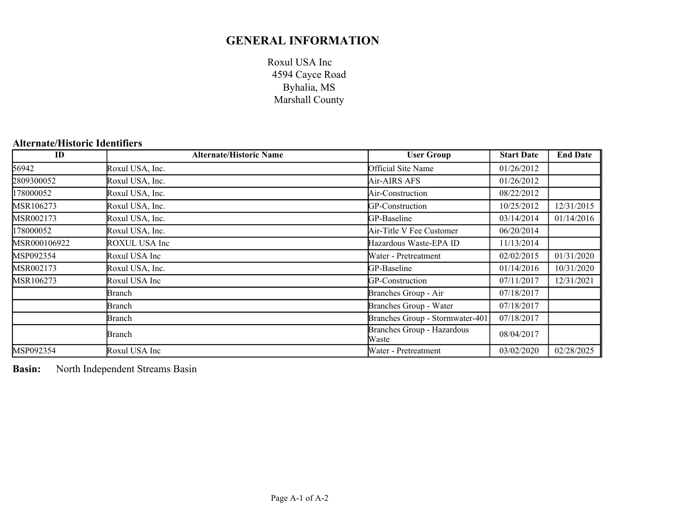### **GENERAL INFORMATION**

Roxul USA Inc Byhalia, MS Marshall County 4594 Cayce Road

### **Alternate/Historic Identifiers**

| ID           | <b>Alternate/Historic Name</b> | <b>User Group</b>                   | <b>Start Date</b> | <b>End Date</b> |
|--------------|--------------------------------|-------------------------------------|-------------------|-----------------|
| 56942        | Roxul USA, Inc.                | Official Site Name                  | 01/26/2012        |                 |
| 2809300052   | Roxul USA, Inc.                | Air-AIRS AFS                        | 01/26/2012        |                 |
| 178000052    | Roxul USA, Inc.                | Air-Construction                    | 08/22/2012        |                 |
| MSR106273    | Roxul USA, Inc.                | GP-Construction                     | 10/25/2012        | 12/31/2015      |
| MSR002173    | Roxul USA, Inc.                | GP-Baseline                         | 03/14/2014        | 01/14/2016      |
| 78000052     | Roxul USA, Inc.                | Air-Title V Fee Customer            | 06/20/2014        |                 |
| MSR000106922 | ROXUL USA Inc                  | Hazardous Waste-EPA ID              | 11/13/2014        |                 |
| MSP092354    | Roxul USA Inc                  | Water - Pretreatment                | 02/02/2015        | 01/31/2020      |
| MSR002173    | Roxul USA, Inc.                | GP-Baseline                         | 01/14/2016        | 10/31/2020      |
| MSR106273    | Roxul USA Inc                  | GP-Construction                     | 07/11/2017        | 12/31/2021      |
|              | Branch                         | Branches Group - Air                | 07/18/2017        |                 |
|              | Branch                         | Branches Group - Water              | 07/18/2017        |                 |
|              | Branch                         | Branches Group - Stormwater-401     | 07/18/2017        |                 |
|              | Branch                         | Branches Group - Hazardous<br>Waste | 08/04/2017        |                 |
| MSP092354    | Roxul USA Inc                  | Water - Pretreatment                | 03/02/2020        | 02/28/2025      |

**Basin:** North Independent Streams Basin